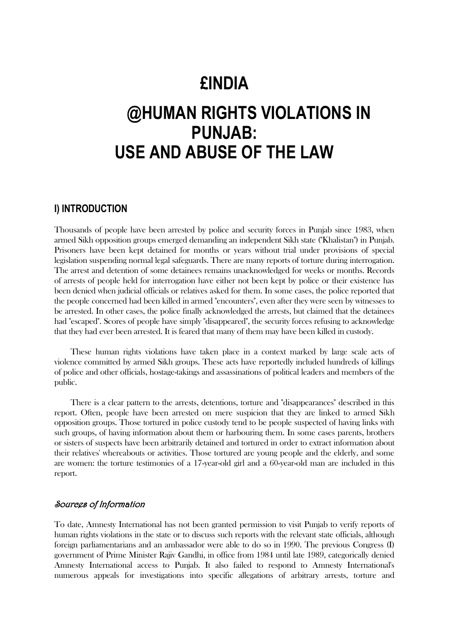# **£INDIA**

# **@HUMAN RIGHTS VIOLATIONS IN PUNJAB: USE AND ABUSE OF THE LAW**

# **I) INTRODUCTION**

Thousands of people have been arrested by police and security forces in Punjab since 1983, when armed Sikh opposition groups emerged demanding an independent Sikh state ("Khalistan") in Punjab. Prisoners have been kept detained for months or years without trial under provisions of special legislation suspending normal legal safeguards. There are many reports of torture during interrogation. The arrest and detention of some detainees remains unacknowledged for weeks or months. Records of arrests of people held for interrogation have either not been kept by police or their existence has been denied when judicial officials or relatives asked for them. In some cases, the police reported that the people concerned had been killed in armed "encounters", even after they were seen by witnesses to be arrested. In other cases, the police finally acknowledged the arrests, but claimed that the detainees had "escaped". Scores of people have simply "disappeared", the security forces refusing to acknowledge that they had ever been arrested. It is feared that many of them may have been killed in custody.

 These human rights violations have taken place in a context marked by large scale acts of violence committed by armed Sikh groups. These acts have reportedly included hundreds of killings of police and other officials, hostage-takings and assassinations of political leaders and members of the public.

 There is a clear pattern to the arrests, detentions, torture and "disappearances" described in this report. Often, people have been arrested on mere suspicion that they are linked to armed Sikh opposition groups. Those tortured in police custody tend to be people suspected of having links with such groups, of having information about them or harbouring them. In some cases parents, brothers or sisters of suspects have been arbitrarily detained and tortured in order to extract information about their relatives' whereabouts or activities. Those tortured are young people and the elderly, and some are women: the torture testimonies of a 17-year-old girl and a 60-year-old man are included in this report.

## Sources of Information

To date, Amnesty International has not been granted permission to visit Punjab to verify reports of human rights violations in the state or to discuss such reports with the relevant state officials, although foreign parliamentarians and an ambassador were able to do so in 1990. The previous Congress (I) government of Prime Minister Rajiv Gandhi, in office from 1984 until late 1989, categorically denied Amnesty International access to Punjab. It also failed to respond to Amnesty International's numerous appeals for investigations into specific allegations of arbitrary arrests, torture and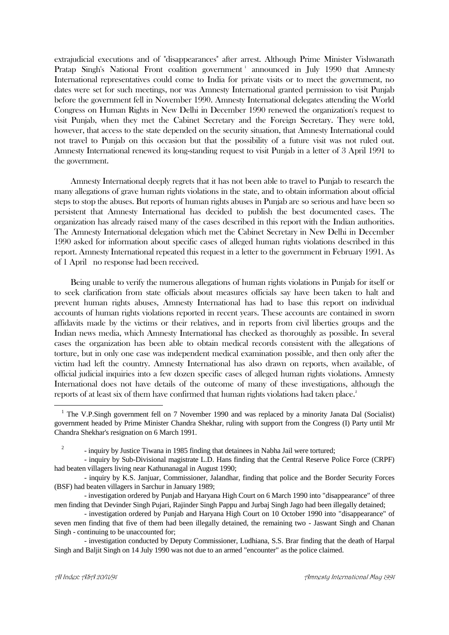extrajudicial executions and of "disappearances" after arrest. Although Prime Minister Vishwanath Pratap Singh's National Front coalition government<sup>1</sup> announced in July 1990 that Amnesty International representatives could come to India for private visits or to meet the government, no dates were set for such meetings, nor was Amnesty International granted permission to visit Punjab before the government fell in November 1990. Amnesty International delegates attending the World Congress on Human Rights in New Delhi in December 1990 renewed the organization's request to visit Punjab, when they met the Cabinet Secretary and the Foreign Secretary. They were told, however, that access to the state depended on the security situation, that Amnesty International could not travel to Punjab on this occasion but that the possibility of a future visit was not ruled out. Amnesty International renewed its long-standing request to visit Punjab in a letter of 3 April 1991 to the government.

 Amnesty International deeply regrets that it has not been able to travel to Punjab to research the many allegations of grave human rights violations in the state, and to obtain information about official steps to stop the abuses. But reports of human rights abuses in Punjab are so serious and have been so persistent that Amnesty International has decided to publish the best documented cases. The organization has already raised many of the cases described in this report with the Indian authorities. The Amnesty International delegation which met the Cabinet Secretary in New Delhi in December 1990 asked for information about specific cases of alleged human rights violations described in this report. Amnesty International repeated this request in a letter to the government in February 1991. As of 1 April no response had been received.

 Being unable to verify the numerous allegations of human rights violations in Punjab for itself or to seek clarification from state officials about measures officials say have been taken to halt and prevent human rights abuses, Amnesty International has had to base this report on individual accounts of human rights violations reported in recent years. These accounts are contained in sworn affidavits made by the victims or their relatives, and in reports from civil liberties groups and the Indian news media, which Amnesty International has checked as thoroughly as possible. In several cases the organization has been able to obtain medical records consistent with the allegations of torture, but in only one case was independent medical examination possible, and then only after the victim had left the country. Amnesty International has also drawn on reports, when available, of official judicial inquiries into a few dozen specific cases of alleged human rights violations. Amnesty International does not have details of the outcome of many of these investigations, although the reports of at least six of them have confirmed that human rights violations had taken place.<sup>2</sup>

<u>.</u>

<sup>&</sup>lt;sup>1</sup> The V.P.Singh government fell on 7 November 1990 and was replaced by a minority Janata Dal (Socialist) government headed by Prime Minister Chandra Shekhar, ruling with support from the Congress (I) Party until Mr Chandra Shekhar's resignation on 6 March 1991.

<sup>-</sup> inquiry by Justice Tiwana in 1985 finding that detainees in Nabha Jail were tortured;

<sup>-</sup> inquiry by Sub-Divisional magistrate L.D. Hans finding that the Central Reserve Police Force (CRPF) had beaten villagers living near Kathunanagal in August 1990;

<sup>-</sup> inquiry by K.S. Janjuar, Commissioner, Jalandhar, finding that police and the Border Security Forces (BSF) had beaten villagers in Sarchur in January 1989;

<sup>-</sup> investigation ordered by Punjab and Haryana High Court on 6 March 1990 into "disappearance" of three men finding that Devinder Singh Pujari, Rajinder Singh Pappu and Jurbaj Singh Jago had been illegally detained;

<sup>-</sup> investigation ordered by Punjab and Haryana High Court on 10 October 1990 into "disappearance" of seven men finding that five of them had been illegally detained, the remaining two - Jaswant Singh and Chanan Singh - continuing to be unaccounted for;

<sup>-</sup> investigation conducted by Deputy Commissioner, Ludhiana, S.S. Brar finding that the death of Harpal Singh and Baljit Singh on 14 July 1990 was not due to an armed "encounter" as the police claimed.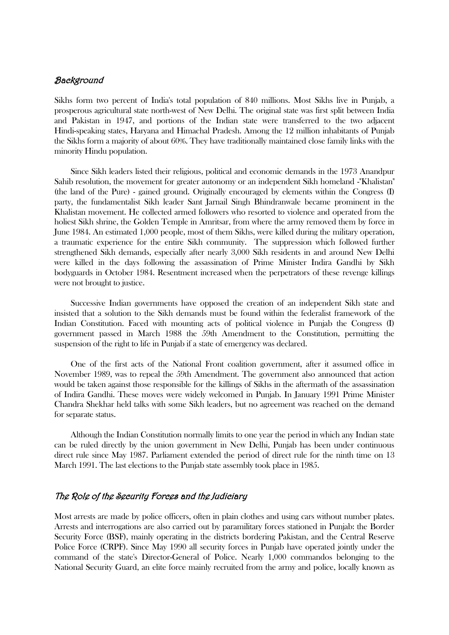## Background

Sikhs form two percent of India's total population of 840 millions. Most Sikhs live in Punjab, a prosperous agricultural state north-west of New Delhi. The original state was first split between India and Pakistan in 1947, and portions of the Indian state were transferred to the two adjacent Hindi-speaking states, Haryana and Himachal Pradesh. Among the 12 million inhabitants of Punjab the Sikhs form a majority of about 60%. They have traditionally maintained close family links with the minority Hindu population.

 Since Sikh leaders listed their religious, political and economic demands in the 1973 Anandpur Sahib resolution, the movement for greater autonomy or an independent Sikh homeland -"Khalistan" (the land of the Pure) - gained ground. Originally encouraged by elements within the Congress (I) party, the fundamentalist Sikh leader Sant Jarnail Singh Bhindranwale became prominent in the Khalistan movement. He collected armed followers who resorted to violence and operated from the holiest Sikh shrine, the Golden Temple in Amritsar, from where the army removed them by force in June 1984. An estimated 1,000 people, most of them Sikhs, were killed during the military operation, a traumatic experience for the entire Sikh community. The suppression which followed further strengthened Sikh demands, especially after nearly 3,000 Sikh residents in and around New Delhi were killed in the days following the assassination of Prime Minister Indira Gandhi by Sikh bodyguards in October 1984. Resentment increased when the perpetrators of these revenge killings were not brought to justice.

 Successive Indian governments have opposed the creation of an independent Sikh state and insisted that a solution to the Sikh demands must be found within the federalist framework of the Indian Constitution. Faced with mounting acts of political violence in Punjab the Congress (I) government passed in March 1988 the 59th Amendment to the Constitution, permitting the suspension of the right to life in Punjab if a state of emergency was declared.

 One of the first acts of the National Front coalition government, after it assumed office in November 1989, was to repeal the 59th Amendment. The government also announced that action would be taken against those responsible for the killings of Sikhs in the aftermath of the assassination of Indira Gandhi. These moves were widely welcomed in Punjab. In January 1991 Prime Minister Chandra Shekhar held talks with some Sikh leaders, but no agreement was reached on the demand for separate status.

 Although the Indian Constitution normally limits to one year the period in which any Indian state can be ruled directly by the union government in New Delhi, Punjab has been under continuous direct rule since May 1987. Parliament extended the period of direct rule for the ninth time on 13 March 1991. The last elections to the Punjab state assembly took place in 1985.

## The Role of the Security Forces and the Judiciary

Most arrests are made by police officers, often in plain clothes and using cars without number plates. Arrests and interrogations are also carried out by paramilitary forces stationed in Punjab: the Border Security Force (BSF), mainly operating in the districts bordering Pakistan, and the Central Reserve Police Force (CRPF). Since May 1990 all security forces in Punjab have operated jointly under the command of the state's Director-General of Police. Nearly 1,000 commandos belonging to the National Security Guard, an elite force mainly recruited from the army and police, locally known as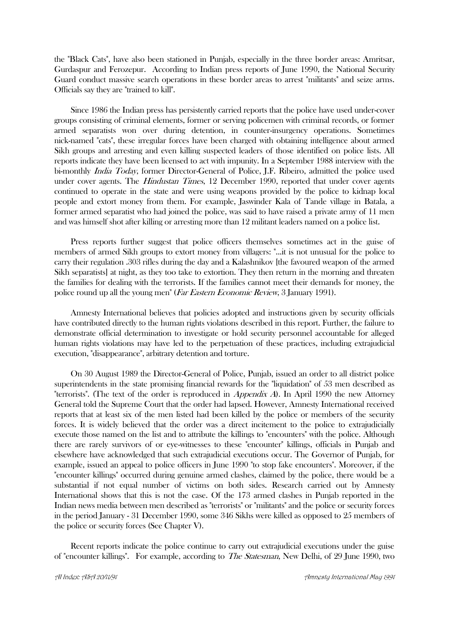the "Black Cats", have also been stationed in Punjab, especially in the three border areas: Amritsar, Gurdaspur and Ferozepur. According to Indian press reports of June 1990, the National Security Guard conduct massive search operations in these border areas to arrest "militants" and seize arms. Officials say they are "trained to kill".

 Since 1986 the Indian press has persistently carried reports that the police have used under-cover groups consisting of criminal elements, former or serving policemen with criminal records, or former armed separatists won over during detention, in counter-insurgency operations. Sometimes nick-named "cats", these irregular forces have been charged with obtaining intelligence about armed Sikh groups and arresting and even killing suspected leaders of those identified on police lists. All reports indicate they have been licensed to act with impunity. In a September 1988 interview with the bi-monthly India Today, former Director-General of Police, J.F. Ribeiro, admitted the police used under cover agents. The *Hindustan Times*, 12 December 1990, reported that under cover agents continued to operate in the state and were using weapons provided by the police to kidnap local people and extort money from them. For example, Jaswinder Kala of Tande village in Batala, a former armed separatist who had joined the police, was said to have raised a private army of 11 men and was himself shot after killing or arresting more than 12 militant leaders named on a police list.

 Press reports further suggest that police officers themselves sometimes act in the guise of members of armed Sikh groups to extort money from villagers: "...it is not unusual for the police to carry their regulation .303 rifles during the day and a Kalashnikov [the favoured weapon of the armed Sikh separatists] at night, as they too take to extortion. They then return in the morning and threaten the families for dealing with the terrorists. If the families cannot meet their demands for money, the police round up all the young men" (Far Eastern Economic Review, 3 January 1991).

 Amnesty International believes that policies adopted and instructions given by security officials have contributed directly to the human rights violations described in this report. Further, the failure to demonstrate official determination to investigate or hold security personnel accountable for alleged human rights violations may have led to the perpetuation of these practices, including extrajudicial execution, "disappearance", arbitrary detention and torture.

 On 30 August 1989 the Director-General of Police, Punjab, issued an order to all district police superintendents in the state promising financial rewards for the "liquidation" of 53 men described as "terrorists". (The text of the order is reproduced in Appendix A). In April 1990 the new Attorney General told the Supreme Court that the order had lapsed. However, Amnesty International received reports that at least six of the men listed had been killed by the police or members of the security forces. It is widely believed that the order was a direct incitement to the police to extrajudicially execute those named on the list and to attribute the killings to "encounters" with the police. Although there are rarely survivors of or eye-witnesses to these "encounter" killings, officials in Punjab and elsewhere have acknowledged that such extrajudicial executions occur. The Governor of Punjab, for example, issued an appeal to police officers in June 1990 "to stop fake encounters". Moreover, if the "encounter killings" occurred during genuine armed clashes, claimed by the police, there would be a substantial if not equal number of victims on both sides. Research carried out by Amnesty International shows that this is not the case. Of the 173 armed clashes in Punjab reported in the Indian news media between men described as "terrorists" or "militants" and the police or security forces in the period January - 31 December 1990, some 346 Sikhs were killed as opposed to 25 members of the police or security forces (See Chapter V).

 Recent reports indicate the police continue to carry out extrajudicial executions under the guise of "encounter killings". For example, according to The Statesman, New Delhi, of 29 June 1990, two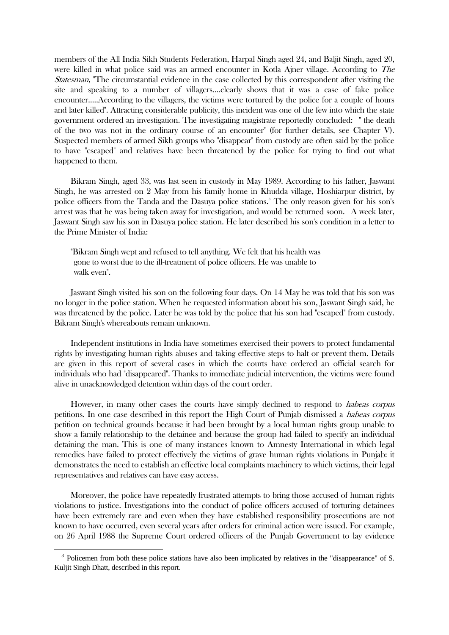members of the All India Sikh Students Federation, Harpal Singh aged 24, and Baljit Singh, aged 20, were killed in what police said was an armed encounter in Kotla Ajner village. According to The Statesman, "The circumstantial evidence in the case collected by this correspondent after visiting the site and speaking to a number of villagers....clearly shows that it was a case of fake police encounter.....According to the villagers, the victims were tortured by the police for a couple of hours and later killed". Attracting considerable publicity, this incident was one of the few into which the state government ordered an investigation. The investigating magistrate reportedly concluded: " the death of the two was not in the ordinary course of an encounter" (for further details, see Chapter V). Suspected members of armed Sikh groups who "disappear" from custody are often said by the police to have "escaped" and relatives have been threatened by the police for trying to find out what happened to them.

 Bikram Singh, aged 33, was last seen in custody in May 1989. According to his father, Jaswant Singh, he was arrested on 2 May from his family home in Khudda village, Hoshiarpur district, by police officers from the Tanda and the Dasuya police stations.<sup>3</sup> The only reason given for his son's arrest was that he was being taken away for investigation, and would be returned soon. A week later, Jaswant Singh saw his son in Dasuya police station. He later described his son's condition in a letter to the Prime Minister of India:

 "Bikram Singh wept and refused to tell anything. We felt that his health was gone to worst due to the ill-treatment of police officers. He was unable to walk even".

 Jaswant Singh visited his son on the following four days. On 14 May he was told that his son was no longer in the police station. When he requested information about his son, Jaswant Singh said, he was threatened by the police. Later he was told by the police that his son had "escaped" from custody. Bikram Singh's whereabouts remain unknown.

 Independent institutions in India have sometimes exercised their powers to protect fundamental rights by investigating human rights abuses and taking effective steps to halt or prevent them. Details are given in this report of several cases in which the courts have ordered an official search for individuals who had "disappeared". Thanks to immediate judicial intervention, the victims were found alive in unacknowledged detention within days of the court order.

However, in many other cases the courts have simply declined to respond to *habeas corpus* petitions. In one case described in this report the High Court of Punjab dismissed a habeas corpus petition on technical grounds because it had been brought by a local human rights group unable to show a family relationship to the detainee and because the group had failed to specify an individual detaining the man. This is one of many instances known to Amnesty International in which legal remedies have failed to protect effectively the victims of grave human rights violations in Punjab: it demonstrates the need to establish an effective local complaints machinery to which victims, their legal representatives and relatives can have easy access.

 Moreover, the police have repeatedly frustrated attempts to bring those accused of human rights violations to justice. Investigations into the conduct of police officers accused of torturing detainees have been extremely rare and even when they have established responsibility prosecutions are not known to have occurred, even several years after orders for criminal action were issued. For example, on 26 April 1988 the Supreme Court ordered officers of the Punjab Government to lay evidence

<sup>&</sup>lt;sup>3</sup> Policemen from both these police stations have also been implicated by relatives in the "disappearance" of S. Kuljit Singh Dhatt, described in this report.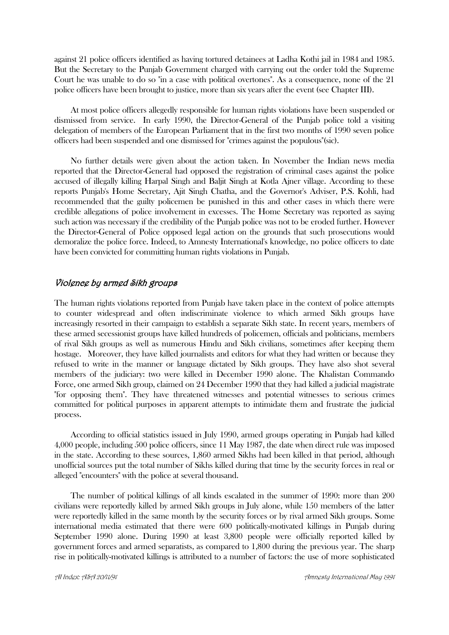against 21 police officers identified as having tortured detainees at Ladha Kothi jail in 1984 and 1985. But the Secretary to the Punjab Government charged with carrying out the order told the Supreme Court he was unable to do so "in a case with political overtones". As a consequence, none of the 21 police officers have been brought to justice, more than six years after the event (see Chapter III).

 At most police officers allegedly responsible for human rights violations have been suspended or dismissed from service. In early 1990, the Director-General of the Punjab police told a visiting delegation of members of the European Parliament that in the first two months of 1990 seven police officers had been suspended and one dismissed for "crimes against the populous"(sic).

 No further details were given about the action taken. In November the Indian news media reported that the Director-General had opposed the registration of criminal cases against the police accused of illegally killing Harpal Singh and Baljit Singh at Kotla Ajner village. According to these reports Punjab's Home Secretary, Ajit Singh Chatha, and the Governor's Adviser, P.S. Kohli, had recommended that the guilty policemen be punished in this and other cases in which there were credible allegations of police involvement in excesses. The Home Secretary was reported as saying such action was necessary if the credibility of the Punjab police was not to be eroded further. However the Director-General of Police opposed legal action on the grounds that such prosecutions would demoralize the police force. Indeed, to Amnesty International's knowledge, no police officers to date have been convicted for committing human rights violations in Punjab.

## Violence by armed Sikh groups

The human rights violations reported from Punjab have taken place in the context of police attempts to counter widespread and often indiscriminate violence to which armed Sikh groups have increasingly resorted in their campaign to establish a separate Sikh state. In recent years, members of these armed secessionist groups have killed hundreds of policemen, officials and politicians, members of rival Sikh groups as well as numerous Hindu and Sikh civilians, sometimes after keeping them hostage. Moreover, they have killed journalists and editors for what they had written or because they refused to write in the manner or language dictated by Sikh groups. They have also shot several members of the judiciary: two were killed in December 1990 alone. The Khalistan Commando Force, one armed Sikh group, claimed on 24 December 1990 that they had killed a judicial magistrate "for opposing them". They have threatened witnesses and potential witnesses to serious crimes committed for political purposes in apparent attempts to intimidate them and frustrate the judicial process.

 According to official statistics issued in July 1990, armed groups operating in Punjab had killed 4,000 people, including 500 police officers, since 11 May 1987, the date when direct rule was imposed in the state. According to these sources, 1,860 armed Sikhs had been killed in that period, although unofficial sources put the total number of Sikhs killed during that time by the security forces in real or alleged "encounters" with the police at several thousand.

 The number of political killings of all kinds escalated in the summer of 1990: more than 200 civilians were reportedly killed by armed Sikh groups in July alone, while 150 members of the latter were reportedly killed in the same month by the security forces or by rival armed Sikh groups. Some international media estimated that there were 600 politically-motivated killings in Punjab during September 1990 alone. During 1990 at least 3,800 people were officially reported killed by government forces and armed separatists, as compared to 1,800 during the previous year. The sharp rise in politically-motivated killings is attributed to a number of factors: the use of more sophisticated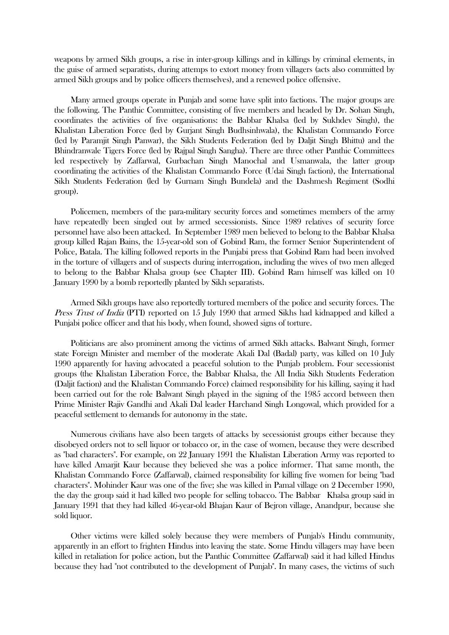weapons by armed Sikh groups, a rise in inter-group killings and in killings by criminal elements, in the guise of armed separatists, during attemps to extort money from villagers (acts also committed by armed Sikh groups and by police officers themselves), and a renewed police offensive.

 Many armed groups operate in Punjab and some have split into factions. The major groups are the following. The Panthic Committee, consisting of five members and headed by Dr. Sohan Singh, coordinates the activities of five organisations: the Babbar Khalsa (led by Sukhdev Singh), the Khalistan Liberation Force (led by Gurjant Singh Budhsinhwala), the Khalistan Commando Force (led by Paramjit Singh Panwar), the Sikh Students Federation (led by Daljit Singh Bhittu) and the Bhindranwale Tigers Force (led by Rajpal Singh Sangha). There are three other Panthic Committees led respectively by Zaffarwal, Gurbachan Singh Manochal and Usmanwala, the latter group coordinating the activities of the Khalistan Commando Force (Udai Singh faction), the International Sikh Students Federation (led by Gurnam Singh Bundela) and the Dashmesh Regiment (Sodhi group).

 Policemen, members of the para-military security forces and sometimes members of the army have repeatedly been singled out by armed secessionists. Since 1989 relatives of security force personnel have also been attacked. In September 1989 men believed to belong to the Babbar Khalsa group killed Rajan Bains, the 15-year-old son of Gobind Ram, the former Senior Superintendent of Police, Batala. The killing followed reports in the Punjabi press that Gobind Ram had been involved in the torture of villagers and of suspects during interrogation, including the wives of two men alleged to belong to the Babbar Khalsa group (see Chapter III). Gobind Ram himself was killed on 10 January 1990 by a bomb reportedly planted by Sikh separatists.

 Armed Sikh groups have also reportedly tortured members of the police and security forces. The Press Trust of India (PTI) reported on 15 July 1990 that armed Sikhs had kidnapped and killed a Punjabi police officer and that his body, when found, showed signs of torture.

 Politicians are also prominent among the victims of armed Sikh attacks. Balwant Singh, former state Foreign Minister and member of the moderate Akali Dal (Badal) party, was killed on 10 July 1990 apparently for having advocated a peaceful solution to the Punjab problem. Four secessionist groups (the Khalistan Liberation Force, the Babbar Khalsa, the All India Sikh Students Federation (Daljit faction) and the Khalistan Commando Force) claimed responsibility for his killing, saying it had been carried out for the role Balwant Singh played in the signing of the 1985 accord between then Prime Minister Rajiv Gandhi and Akali Dal leader Harchand Singh Longowal, which provided for a peaceful settlement to demands for autonomy in the state.

 Numerous civilians have also been targets of attacks by secessionist groups either because they disobeyed orders not to sell liquor or tobacco or, in the case of women, because they were described as "bad characters". For example, on 22 January 1991 the Khalistan Liberation Army was reported to have killed Amarjit Kaur because they believed she was a police informer. That same month, the Khalistan Commando Force (Zaffarwal), claimed responsibility for killing five women for being "bad characters". Mohinder Kaur was one of the five; she was killed in Pamal village on 2 December 1990, the day the group said it had killed two people for selling tobacco. The Babbar Khalsa group said in January 1991 that they had killed 46-year-old Bhajan Kaur of Bejron village, Anandpur, because she sold liquor.

 Other victims were killed solely because they were members of Punjab's Hindu community, apparently in an effort to frighten Hindus into leaving the state. Some Hindu villagers may have been killed in retaliation for police action, but the Panthic Committee (Zaffarwal) said it had killed Hindus because they had "not contributed to the development of Punjab". In many cases, the victims of such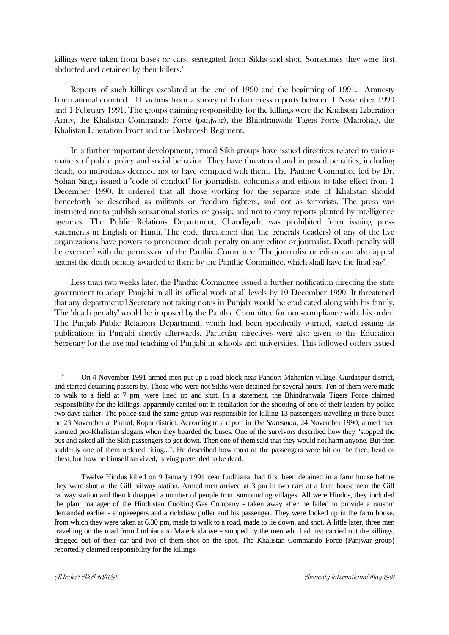killings were taken from buses or cars, segregated from Sikhs and shot. Sometimes they were first abducted and detained by their killers.<sup>4</sup>

 Reports of such killings escalated at the end of 1990 and the beginning of 1991. Amnesty International counted 141 victims from a survey of Indian press reports between 1 November 1990 and 1 February 1991. The groups claiming responsibility for the killings were the Khalistan Liberation Army, the Khalistan Commando Force (panjwar), the Bhindranwale Tigers Force (Manohal), the Khalistan Liberation Front and the Dashmesh Regiment.

 In a further important development, armed Sikh groups have issued directives related to various matters of public policy and social behavior. They have threatened and imposed penalties, including death, on individuals deemed not to have complied with them. The Panthic Committee led by Dr. Sohan Singh issued a "code of conduct" for journalists, columnists and editors to take effect from 1 December 1990. It ordered that all those working for the separate state of Khalistan should henceforth be described as militants or freedom fighters, and not as terrorists. The press was instructed not to publish sensational stories or gossip, and not to carry reports planted by intelligence agencies. The Public Relations Department, Chandigarh, was prohibited from issuing press statements in English or Hindi. The code threatened that "the generals (leaders) of any of the five organizations have powers to pronounce death penalty on any editor or journalist. Death penalty will be executed with the permission of the Panthic Committee. The journalist or editor can also appeal against the death penalty awarded to them by the Panthic Committee, which shall have the final say".

 Less than two weeks later, the Panthic Committee issued a further notification directing the state government to adopt Punjabi in all its official work at all levels by 10 December 1990. It threatened that any departmental Secretary not taking notes in Punjabi would be eradicated along with his family. The "death penalty" would be imposed by the Panthic Committee for non-compliance with this order. The Punjab Public Relations Department, which had been specifically warned, started issuing its publications in Punjabi shortly afterwards. Particular directives were also given to the Education Secretary for the use and teaching of Punjabi in schools and universities. This followed orders issued

<sup>4</sup> On 4 November 1991 armed men put up a road block near Pandori Mahantan village, Gurdaspur district, and started detaining passers by. Those who were not Sikhs were detained for several hours. Ten of them were made to walk to a field at 7 pm, were lined up and shot. In a statement, the Bhindranwala Tigers Force claimed responsibility for the killings, apparently carried out in retaliation for the shooting of one of their leaders by police two days earlier. The police said the same group was responsible for killing 13 passengers travelling in three buses on 23 November at Parhol, Ropar district. According to a report in *The Statesman*, 24 November 1990, armed men shouted pro-Khalistan slogans when they boarded the buses. One of the survivors described how they "stopped the bus and asked all the Sikh passengers to get down. Then one of them said that they would not harm anyone. But then suddenly one of them ordered firing...". He described how most of the passengers were hit on the face, head or chest, but how he himself survived, having pretended to be dead.

Twelve Hindus killed on 9 January 1991 near Ludhiana, had first been detained in a farm house before they were shot at the Gill railway station. Armed men arrived at 3 pm in two cars at a farm house near the Gill railway station and then kidnapped a number of people from surrounding villages. All were Hindus, they included the plant manager of the Hindustan Cooking Gas Company - taken away after he failed to provide a ransom demanded earlier - shopkeepers and a rickshaw puller and his passenger. They were locked up in the farm house, from which they were taken at 6.30 pm, made to walk to a road, made to lie down, and shot. A little later, three men travelling on the road from Ludhiana to Malerkotla were stopped by the men who had just carried out the killings, dragged out of their car and two of them shot on the spot. The Khalistan Commando Force (Panjwar group) reportedly claimed responsibility for the killings.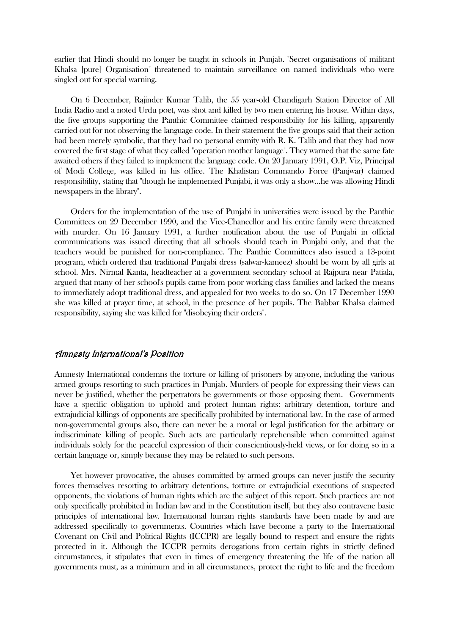earlier that Hindi should no longer be taught in schools in Punjab. "Secret organisations of militant Khalsa [pure] Organisation" threatened to maintain surveillance on named individuals who were singled out for special warning.

 On 6 December, Rajinder Kumar Talib, the 55 year-old Chandigarh Station Director of All India Radio and a noted Urdu poet, was shot and killed by two men entering his house. Within days, the five groups supporting the Panthic Committee claimed responsibility for his killing, apparently carried out for not observing the language code. In their statement the five groups said that their action had been merely symbolic, that they had no personal enmity with R. K. Talib and that they had now covered the first stage of what they called "operation mother language". They warned that the same fate awaited others if they failed to implement the language code. On 20 January 1991, O.P. Viz, Principal of Modi College, was killed in his office. The Khalistan Commando Force (Panjwar) claimed responsibility, stating that "though he implemented Punjabi, it was only a show...he was allowing Hindi newspapers in the library".

 Orders for the implementation of the use of Punjabi in universities were issued by the Panthic Committees on 29 December 1990, and the Vice-Chancellor and his entire family were threatened with murder. On 16 January 1991, a further notification about the use of Punjabi in official communications was issued directing that all schools should teach in Punjabi only, and that the teachers would be punished for non-compliance. The Panthic Committees also issued a 13-point program, which ordered that traditional Punjabi dress (salwar-kameez) should be worn by all girls at school. Mrs. Nirmal Kanta, headteacher at a government secondary school at Rajpura near Patiala, argued that many of her school's pupils came from poor working class families and lacked the means to immediately adopt traditional dress, and appealed for two weeks to do so. On 17 December 1990 she was killed at prayer time, at school, in the presence of her pupils. The Babbar Khalsa claimed responsibility, saying she was killed for "disobeying their orders".

## Amnesty International's Position

Amnesty International condemns the torture or killing of prisoners by anyone, including the various armed groups resorting to such practices in Punjab. Murders of people for expressing their views can never be justified, whether the perpetrators be governments or those opposing them. Governments have a specific obligation to uphold and protect human rights: arbitrary detention, torture and extrajudicial killings of opponents are specifically prohibited by international law. In the case of armed non-governmental groups also, there can never be a moral or legal justification for the arbitrary or indiscriminate killing of people. Such acts are particularly reprehensible when committed against individuals solely for the peaceful expression of their conscientiously-held views, or for doing so in a certain language or, simply because they may be related to such persons.

 Yet however provocative, the abuses committed by armed groups can never justify the security forces themselves resorting to arbitrary detentions, torture or extrajudicial executions of suspected opponents, the violations of human rights which are the subject of this report. Such practices are not only specifically prohibited in Indian law and in the Constitution itself, but they also contravene basic principles of international law. International human rights standards have been made by and are addressed specifically to governments. Countries which have become a party to the International Covenant on Civil and Political Rights (ICCPR) are legally bound to respect and ensure the rights protected in it. Although the ICCPR permits derogations from certain rights in strictly defined circumstances, it stipulates that even in times of emergency threatening the life of the nation all governments must, as a minimum and in all circumstances, protect the right to life and the freedom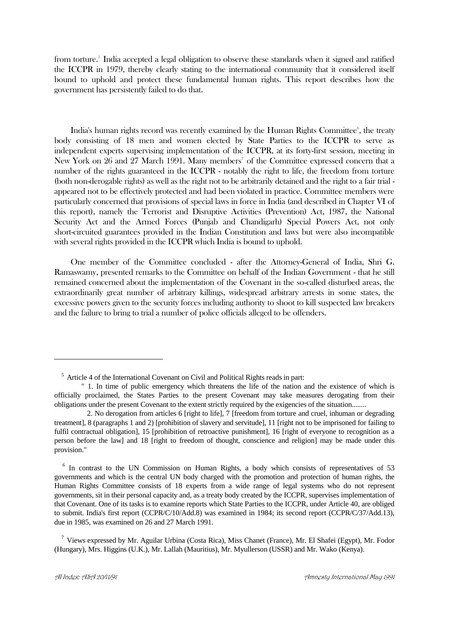from torture.<sup>5</sup> India accepted a legal obligation to observe these standards when it signed and ratified the ICCPR in 1979, thereby clearly stating to the international community that it considered itself bound to uphold and protect these fundamental human rights. This report describes how the government has persistently failed to do that.

India's human rights record was recently examined by the Human Rights Committee $\mathfrak{e}$ , the treaty body consisting of 18 men and women elected by State Parties to the ICCPR to serve as independent experts supervising implementation of the ICCPR, at its forty-first session, meeting in New York on 26 and 27 March 1991. Many members<sup>7</sup> of the Committee expressed concern that a number of the rights guaranteed in the ICCPR - notably the right to life, the freedom from torture (both non-derogable rights) as well as the right not to be arbitrarily detained and the right to a fair trial appeared not to be effectively protected and had been violated in practice. Committee members were particularly concerned that provisions of special laws in force in India (and described in Chapter VI of this report), namely the Terrorist and Disruptive Activities (Prevention) Act, 1987, the National Security Act and the Armed Forces (Punjab and Chandigarh) Special Powers Act, not only short-circuited guarantees provided in the Indian Constitution and laws but were also incompatible with several rights provided in the ICCPR which India is bound to uphold.

 One member of the Committee concluded - after the Attorney-General of India, Shri G. Ramaswamy, presented remarks to the Committee on behalf of the Indian Government - that he still remained concerned about the implementation of the Covenant in the so-called disturbed areas, the extraordinarily great number of arbitrary killings, widespread arbitrary arrests in some states, the excessive powers given to the security forces including authority to shoot to kill suspected law breakers and the failure to bring to trial a number of police officials alleged to be offenders.

<sup>6</sup> In contrast to the UN Commission on Human Rights, a body which consists of representatives of 53 governments and which is the central UN body charged with the promotion and protection of human rights, the Human Rights Committee consists of 18 experts from a wide range of legal systems who do not represent governments, sit in their personal capacity and, as a treaty body created by the ICCPR, supervises implementation of that Covenant. One of its tasks is to examine reports which State Parties to the ICCPR, under Article 40, are obliged to submit. India's first report (CCPR/C/10/Add.8) was examined in 1984; its second report (CCPR/C/37/Add.13), due in 1985, was examined on 26 and 27 March 1991.

<sup>7</sup> Views expressed by Mr. Aguilar Urbina (Costa Rica), Miss Chanet (France), Mr. El Shafei (Egypt), Mr. Fodor (Hungary), Mrs. Higgins (U.K.), Mr. Lallah (Mauritius), Mr. Myullerson (USSR) and Mr. Wako (Kenya).

<sup>5</sup> Article 4 of the International Covenant on Civil and Political Rights reads in part:

<sup>&</sup>quot; 1. In time of public emergency which threatens the life of the nation and the existence of which is officially proclaimed, the States Parties to the present Covenant may take measures derogating from their obligations under the present Covenant to the extent strictly required by the exigencies of the situation........

 <sup>2.</sup> No derogation from articles 6 [right to life], 7 [freedom from torture and cruel, inhuman or degrading treatment], 8 (paragraphs 1 and 2) [prohibition of slavery and servitude], 11 [right not to be imprisoned for failing to fulfil contractual obligation], 15 [prohibition of retroactive punishment], 16 [right of everyone to recognition as a person before the law] and 18 [right to freedom of thought, conscience and religion] may be made under this provision."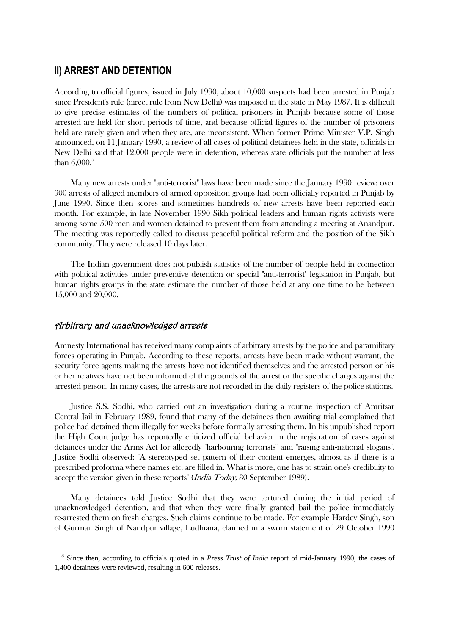# **II) ARREST AND DETENTION**

According to official figures, issued in July 1990, about 10,000 suspects had been arrested in Punjab since President's rule (direct rule from New Delhi) was imposed in the state in May 1987. It is difficult to give precise estimates of the numbers of political prisoners in Punjab because some of those arrested are held for short periods of time, and because official figures of the number of prisoners held are rarely given and when they are, are inconsistent. When former Prime Minister V.P. Singh announced, on 11 January 1990, a review of all cases of political detainees held in the state, officials in New Delhi said that 12,000 people were in detention, whereas state officials put the number at less than  $6,000$ .<sup>8</sup>

 Many new arrests under "anti-terrorist" laws have been made since the January 1990 review: over 900 arrests of alleged members of armed opposition groups had been officially reported in Punjab by June 1990. Since then scores and sometimes hundreds of new arrests have been reported each month. For example, in late November 1990 Sikh political leaders and human rights activists were among some 500 men and women detained to prevent them from attending a meeting at Anandpur. The meeting was reportedly called to discuss peaceful political reform and the position of the Sikh community. They were released 10 days later.

 The Indian government does not publish statistics of the number of people held in connection with political activities under preventive detention or special "anti-terrorist" legislation in Punjab, but human rights groups in the state estimate the number of those held at any one time to be between 15,000 and 20,000.

## Arbitrary and unacknowledged arrests

1

Amnesty International has received many complaints of arbitrary arrests by the police and paramilitary forces operating in Punjab. According to these reports, arrests have been made without warrant, the security force agents making the arrests have not identified themselves and the arrested person or his or her relatives have not been informed of the grounds of the arrest or the specific charges against the arrested person. In many cases, the arrests are not recorded in the daily registers of the police stations.

 Justice S.S. Sodhi, who carried out an investigation during a routine inspection of Amritsar Central Jail in February 1989, found that many of the detainees then awaiting trial complained that police had detained them illegally for weeks before formally arresting them. In his unpublished report the High Court judge has reportedly criticized official behavior in the registration of cases against detainees under the Arms Act for allegedly "harbouring terrorists" and "raising anti-national slogans". Justice Sodhi observed: "A stereotyped set pattern of their content emerges, almost as if there is a prescribed proforma where names etc. are filled in. What is more, one has to strain one's credibility to accept the version given in these reports" (*India Today*, 30 September 1989).

 Many detainees told Justice Sodhi that they were tortured during the initial period of unacknowledged detention, and that when they were finally granted bail the police immediately re-arrested them on fresh charges. Such claims continue to be made. For example Hardev Singh, son of Gurmail Singh of Nandpur village, Ludhiana, claimed in a sworn statement of 29 October 1990

<sup>&</sup>lt;sup>8</sup> Since then, according to officials quoted in a *Press Trust of India* report of mid-January 1990, the cases of 1,400 detainees were reviewed, resulting in 600 releases.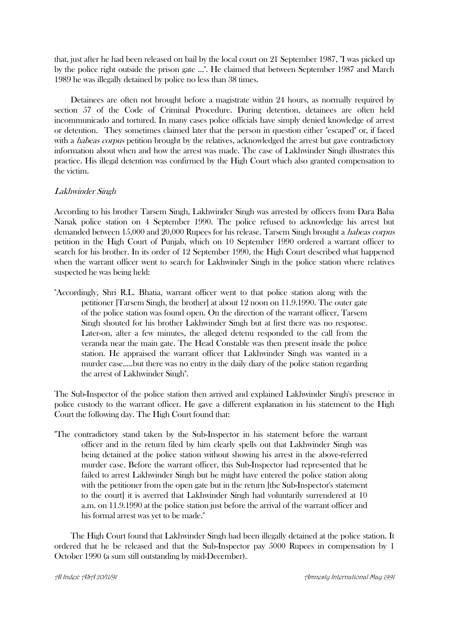that, just after he had been released on bail by the local court on 21 September 1987, "I was picked up by the police right outside the prison gate ...". He claimed that between September 1987 and March 1989 he was illegally detained by police no less than 38 times.

 Detainees are often not brought before a magistrate within 24 hours, as normally required by section 57 of the Code of Criminal Procedure. During detention, detainees are often held incommunicado and tortured. In many cases police officials have simply denied knowledge of arrest or detention. They sometimes claimed later that the person in question either "escaped" or, if faced with a *habeas corpus* petition brought by the relatives, acknowledged the arrest but gave contradictory information about when and how the arrest was made. The case of Lakhwinder Singh illustrates this practice. His illegal detention was confirmed by the High Court which also granted compensation to the victim.

## Lakhwinder Singh

According to his brother Tarsem Singh, Lakhwinder Singh was arrested by officers from Dara Baba Nanak police station on 4 September 1990. The police refused to acknowledge his arrest but demanded between 15,000 and 20,000 Rupees for his release. Tarsem Singh brought a *habeas corpus* petition in the High Court of Punjab, which on 10 September 1990 ordered a warrant officer to search for his brother. In its order of 12 September 1990, the High Court described what happened when the warrant officer went to search for Lakhwinder Singh in the police station where relatives suspected he was being held:

"Accordingly, Shri R.L. Bhatia, warrant officer went to that police station along with the petitioner [Tarsem Singh, the brother] at about 12 noon on 11.9.1990. The outer gate of the police station was found open. On the direction of the warrant officer, Tarsem Singh shouted for his brother Lakhwinder Singh but at first there was no response. Later-on, after a few minutes, the alleged detenu responded to the call from the veranda near the main gate. The Head Constable was then present inside the police station. He appraised the warrant officer that Lakhwinder Singh was wanted in a murder case.....but there was no entry in the daily diary of the police station regarding the arrest of Lakhwinder Singh".

The Sub-Inspector of the police station then arrived and explained Lakhwinder Singh's presence in police custody to the warrant officer. He gave a different explanation in his statement to the High Court the following day. The High Court found that:

"The contradictory stand taken by the Sub-Inspector in his statement before the warrant officer and in the return filed by him clearly spells out that Lakhwinder Singh was being detained at the police station without showing his arrest in the above-referred murder case. Before the warrant officer, this Sub-Inspector had represented that he failed to arrest Lakhwinder Singh but he might have entered the police station along with the petitioner from the open gate but in the return [the Sub-Inspector's statement to the court] it is averred that Lakhwinder Singh had voluntarily surrendered at 10 a.m. on 11.9.1990 at the police station just before the arrival of the warrant officer and his formal arrest was yet to be made."

 The High Court found that Lakhwinder Singh had been illegally detained at the police station. It ordered that he be released and that the Sub-Inspector pay 5000 Rupees in compensation by 1 October 1990 (a sum still outstanding by mid-December).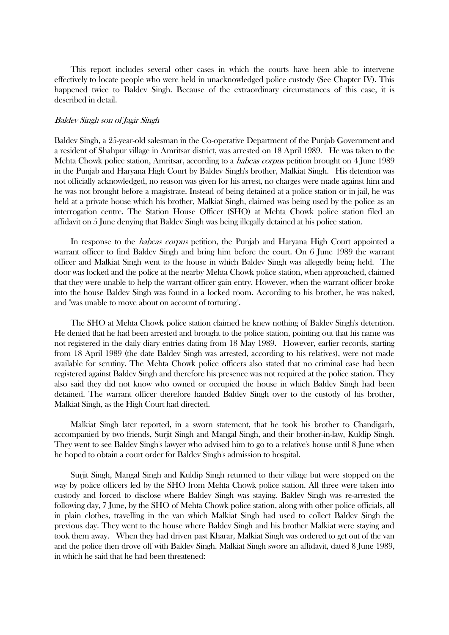This report includes several other cases in which the courts have been able to intervene effectively to locate people who were held in unacknowledged police custody (See Chapter IV). This happened twice to Baldev Singh. Because of the extraordinary circumstances of this case, it is described in detail.

#### Baldev Singh son of Jagir Singh

Baldev Singh, a 25-year-old salesman in the Co-operative Department of the Punjab Government and a resident of Shahpur village in Amritsar district, was arrested on 18 April 1989. He was taken to the Mehta Chowk police station, Amritsar, according to a *habeas corpus* petition brought on 4 June 1989 in the Punjab and Haryana High Court by Baldev Singh's brother, Malkiat Singh. His detention was not officially acknowledged, no reason was given for his arrest, no charges were made against him and he was not brought before a magistrate. Instead of being detained at a police station or in jail, he was held at a private house which his brother, Malkiat Singh, claimed was being used by the police as an interrogation centre. The Station House Officer (SHO) at Mehta Chowk police station filed an affidavit on 5 June denying that Baldev Singh was being illegally detained at his police station.

In response to the *habeas corpus* petition, the Punjab and Haryana High Court appointed a warrant officer to find Baldev Singh and bring him before the court. On 6 June 1989 the warrant officer and Malkiat Singh went to the house in which Baldev Singh was allegedly being held. The door was locked and the police at the nearby Mehta Chowk police station, when approached, claimed that they were unable to help the warrant officer gain entry. However, when the warrant officer broke into the house Baldev Singh was found in a locked room. According to his brother, he was naked, and "was unable to move about on account of torturing".

 The SHO at Mehta Chowk police station claimed he knew nothing of Baldev Singh's detention. He denied that he had been arrested and brought to the police station, pointing out that his name was not registered in the daily diary entries dating from 18 May 1989. However, earlier records, starting from 18 April 1989 (the date Baldev Singh was arrested, according to his relatives), were not made available for scrutiny. The Mehta Chowk police officers also stated that no criminal case had been registered against Baldev Singh and therefore his presence was not required at the police station. They also said they did not know who owned or occupied the house in which Baldev Singh had been detained. The warrant officer therefore handed Baldev Singh over to the custody of his brother, Malkiat Singh, as the High Court had directed.

 Malkiat Singh later reported, in a sworn statement, that he took his brother to Chandigarh, accompanied by two friends, Surjit Singh and Mangal Singh, and their brother-in-law, Kuldip Singh. They went to see Baldev Singh's lawyer who advised him to go to a relative's house until 8 June when he hoped to obtain a court order for Baldev Singh's admission to hospital.

 Surjit Singh, Mangal Singh and Kuldip Singh returned to their village but were stopped on the way by police officers led by the SHO from Mehta Chowk police station. All three were taken into custody and forced to disclose where Baldev Singh was staying. Baldev Singh was re-arrested the following day, 7 June, by the SHO of Mehta Chowk police station, along with other police officials, all in plain clothes, travelling in the van which Malkiat Singh had used to collect Baldev Singh the previous day. They went to the house where Baldev Singh and his brother Malkiat were staying and took them away. When they had driven past Kharar, Malkiat Singh was ordered to get out of the van and the police then drove off with Baldev Singh. Malkiat Singh swore an affidavit, dated 8 June 1989, in which he said that he had been threatened: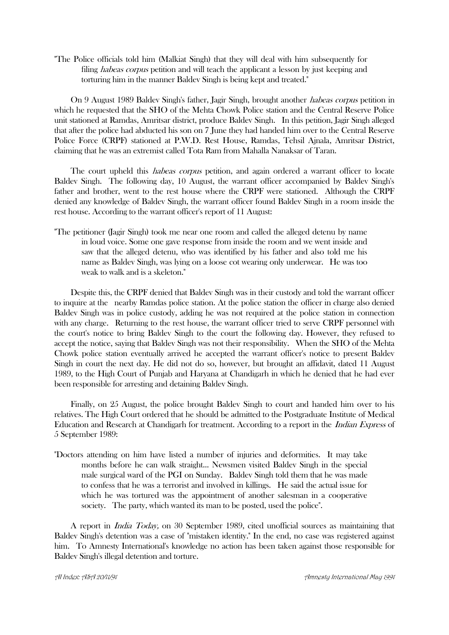"The Police officials told him (Malkiat Singh) that they will deal with him subsequently for filing *habeas corpus* petition and will teach the applicant a lesson by just keeping and torturing him in the manner Baldev Singh is being kept and treated."

 On 9 August 1989 Baldev Singh's father, Jagir Singh, brought another habeas corpus petition in which he requested that the SHO of the Mehta Chowk Police station and the Central Reserve Police unit stationed at Ramdas, Amritsar district, produce Baldev Singh. In this petition, Jagir Singh alleged that after the police had abducted his son on 7 June they had handed him over to the Central Reserve Police Force (CRPF) stationed at P.W.D. Rest House, Ramdas, Tehsil Ajnala, Amritsar District, claiming that he was an extremist called Tota Ram from Mahalla Nanaksar of Taran.

The court upheld this *habeas corpus* petition, and again ordered a warrant officer to locate Baldev Singh. The following day, 10 August, the warrant officer accompanied by Baldev Singh's father and brother, went to the rest house where the CRPF were stationed. Although the CRPF denied any knowledge of Baldev Singh, the warrant officer found Baldev Singh in a room inside the rest house. According to the warrant officer's report of 11 August:

"The petitioner (Jagir Singh) took me near one room and called the alleged detenu by name in loud voice. Some one gave response from inside the room and we went inside and saw that the alleged detenu, who was identified by his father and also told me his name as Baldev Singh, was lying on a loose cot wearing only underwear. He was too weak to walk and is a skeleton."

 Despite this, the CRPF denied that Baldev Singh was in their custody and told the warrant officer to inquire at the nearby Ramdas police station. At the police station the officer in charge also denied Baldev Singh was in police custody, adding he was not required at the police station in connection with any charge. Returning to the rest house, the warrant officer tried to serve CRPF personnel with the court's notice to bring Baldev Singh to the court the following day. However, they refused to accept the notice, saying that Baldev Singh was not their responsibility. When the SHO of the Mehta Chowk police station eventually arrived he accepted the warrant officer's notice to present Baldev Singh in court the next day. He did not do so, however, but brought an affidavit, dated 11 August 1989, to the High Court of Punjab and Haryana at Chandigarh in which he denied that he had ever been responsible for arresting and detaining Baldev Singh.

 Finally, on 25 August, the police brought Baldev Singh to court and handed him over to his relatives. The High Court ordered that he should be admitted to the Postgraduate Institute of Medical Education and Research at Chandigarh for treatment. According to a report in the Indian Express of 5 September 1989:

"Doctors attending on him have listed a number of injuries and deformities. It may take months before he can walk straight... Newsmen visited Baldev Singh in the special male surgical ward of the PGI on Sunday. Baldev Singh told them that he was made to confess that he was a terrorist and involved in killings. He said the actual issue for which he was tortured was the appointment of another salesman in a cooperative society. The party, which wanted its man to be posted, used the police".

 A report in India Today, on 30 September 1989, cited unofficial sources as maintaining that Baldev Singh's detention was a case of "mistaken identity." In the end, no case was registered against him. To Amnesty International's knowledge no action has been taken against those responsible for Baldev Singh's illegal detention and torture.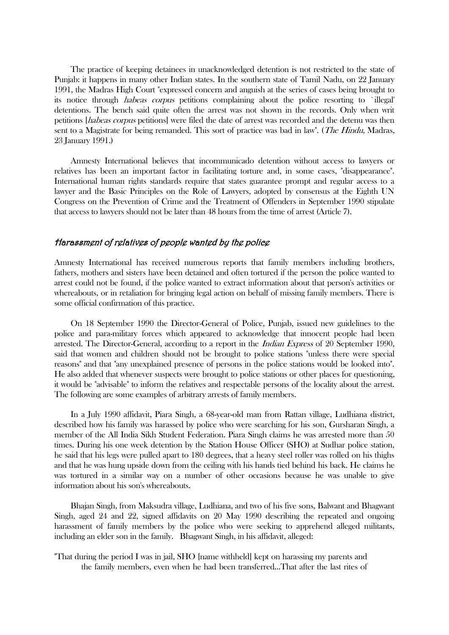The practice of keeping detainees in unacknowledged detention is not restricted to the state of Punjab: it happens in many other Indian states. In the southern state of Tamil Nadu, on 22 January 1991, the Madras High Court "expressed concern and anguish at the series of cases being brought to its notice through habeas corpus petitions complaining about the police resorting to `illegal' detentions. The bench said quite often the arrest was not shown in the records. Only when writ petitions [habeas corpus petitions] were filed the date of arrest was recorded and the detenu was then sent to a Magistrate for being remanded. This sort of practice was bad in law". (*The Hindu*, Madras, 23 January 1991.)

 Amnesty International believes that incommunicado detention without access to lawyers or relatives has been an important factor in facilitating torture and, in some cases, "disappearance". International human rights standards require that states guarantee prompt and regular access to a lawyer and the Basic Principles on the Role of Lawyers, adopted by consensus at the Eighth UN Congress on the Prevention of Crime and the Treatment of Offenders in September 1990 stipulate that access to lawyers should not be later than 48 hours from the time of arrest (Article 7).

## Harassment of relatives of people wanted by the police

Amnesty International has received numerous reports that family members including brothers, fathers, mothers and sisters have been detained and often tortured if the person the police wanted to arrest could not be found, if the police wanted to extract information about that person's activities or whereabouts, or in retaliation for bringing legal action on behalf of missing family members. There is some official confirmation of this practice.

 On 18 September 1990 the Director-General of Police, Punjab, issued new guidelines to the police and para-military forces which appeared to acknowledge that innocent people had been arrested. The Director-General, according to a report in the *Indian Express* of 20 September 1990, said that women and children should not be brought to police stations "unless there were special reasons" and that "any unexplained presence of persons in the police stations would be looked into". He also added that whenever suspects were brought to police stations or other places for questioning, it would be "advisable" to inform the relatives and respectable persons of the locality about the arrest. The following are some examples of arbitrary arrests of family members.

 In a July 1990 affidavit, Piara Singh, a 68-year-old man from Rattan village, Ludhiana district, described how his family was harassed by police who were searching for his son, Gursharan Singh, a member of the All India Sikh Student Federation. Piara Singh claims he was arrested more than 50 times. During his one week detention by the Station House Officer (SHO) at Sudhar police station, he said that his legs were pulled apart to 180 degrees, that a heavy steel roller was rolled on his thighs and that he was hung upside down from the ceiling with his hands tied behind his back. He claims he was tortured in a similar way on a number of other occasions because he was unable to give information about his son's whereabouts.

 Bhajan Singh, from Maksudra village, Ludhiana, and two of his five sons, Balwant and Bhagwant Singh, aged 24 and 22, signed affidavits on 20 May 1990 describing the repeated and ongoing harassment of family members by the police who were seeking to apprehend alleged militants, including an elder son in the family. Bhagwant Singh, in his affidavit, alleged:

"That during the period I was in jail, SHO [name withheld] kept on harassing my parents and the family members, even when he had been transferred...That after the last rites of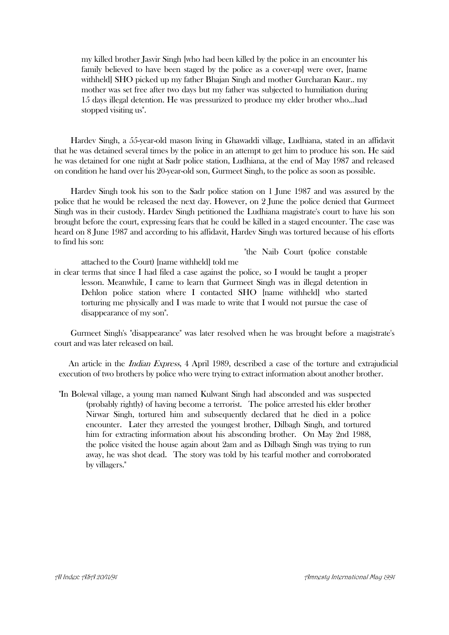my killed brother Jasvir Singh [who had been killed by the police in an encounter his family believed to have been staged by the police as a cover-up] were over, [name withheld] SHO picked up my father Bhajan Singh and mother Gurcharan Kaur.. my mother was set free after two days but my father was subjected to humiliation during 15 days illegal detention. He was pressurized to produce my elder brother who...had stopped visiting us".

 Hardev Singh, a 55-year-old mason living in Ghawaddi village, Ludhiana, stated in an affidavit that he was detained several times by the police in an attempt to get him to produce his son. He said he was detained for one night at Sadr police station, Ludhiana, at the end of May 1987 and released on condition he hand over his 20-year-old son, Gurmeet Singh, to the police as soon as possible.

 Hardev Singh took his son to the Sadr police station on 1 June 1987 and was assured by the police that he would be released the next day. However, on 2 June the police denied that Gurmeet Singh was in their custody. Hardev Singh petitioned the Ludhiana magistrate's court to have his son brought before the court, expressing fears that he could be killed in a staged encounter. The case was heard on 8 June 1987 and according to his affidavit, Hardev Singh was tortured because of his efforts to find his son:

"the Naib Court (police constable

attached to the Court) [name withheld] told me in clear terms that since I had filed a case against the police, so I would be taught a proper lesson. Meanwhile, I came to learn that Gurmeet Singh was in illegal detention in Dehlon police station where I contacted SHO [name withheld] who started torturing me physically and I was made to write that I would not pursue the case of disappearance of my son".

 Gurmeet Singh's "disappearance" was later resolved when he was brought before a magistrate's court and was later released on bail.

An article in the *Indian Express*, 4 April 1989, described a case of the torture and extrajudicial execution of two brothers by police who were trying to extract information about another brother.

"In Bolewal village, a young man named Kulwant Singh had absconded and was suspected (probably rightly) of having become a terrorist. The police arrested his elder brother Nirwar Singh, tortured him and subsequently declared that he died in a police encounter. Later they arrested the youngest brother, Dilbagh Singh, and tortured him for extracting information about his absconding brother. On May 2nd 1988, the police visited the house again about 2am and as Dilbagh Singh was trying to run away, he was shot dead. The story was told by his tearful mother and corroborated by villagers."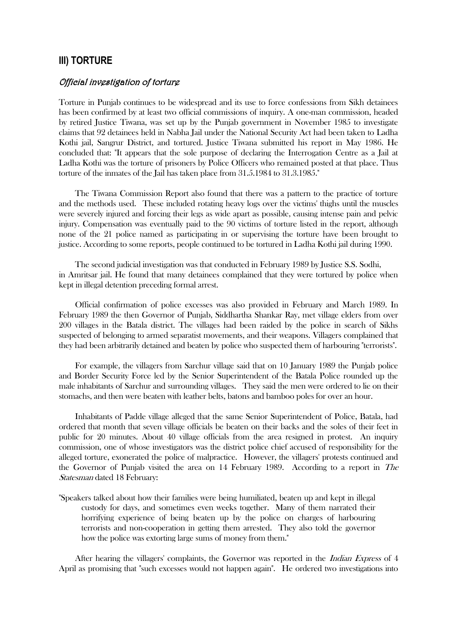# **III) TORTURE**

#### Official investigation of torture

Torture in Punjab continues to be widespread and its use to force confessions from Sikh detainees has been confirmed by at least two official commissions of inquiry. A one-man commission, headed by retired Justice Tiwana, was set up by the Punjab government in November 1985 to investigate claims that 92 detainees held in Nabha Jail under the National Security Act had been taken to Ladha Kothi jail, Sangrur District, and tortured. Justice Tiwana submitted his report in May 1986. He concluded that: "It appears that the sole purpose of declaring the Interrogation Centre as a Jail at Ladha Kothi was the torture of prisoners by Police Officers who remained posted at that place. Thus torture of the inmates of the Jail has taken place from 31.5.1984 to 31.3.1985."

 The Tiwana Commission Report also found that there was a pattern to the practice of torture and the methods used. These included rotating heavy logs over the victims' thighs until the muscles were severely injured and forcing their legs as wide apart as possible, causing intense pain and pelvic injury. Compensation was eventually paid to the 90 victims of torture listed in the report, although none of the 21 police named as participating in or supervising the torture have been brought to justice. According to some reports, people continued to be tortured in Ladha Kothi jail during 1990.

 The second judicial investigation was that conducted in February 1989 by Justice S.S. Sodhi, in Amritsar jail. He found that many detainees complained that they were tortured by police when kept in illegal detention preceding formal arrest.

 Official confirmation of police excesses was also provided in February and March 1989. In February 1989 the then Governor of Punjab, Siddhartha Shankar Ray, met village elders from over 200 villages in the Batala district. The villages had been raided by the police in search of Sikhs suspected of belonging to armed separatist movements, and their weapons. Villagers complained that they had been arbitrarily detained and beaten by police who suspected them of harbouring "terrorists".

 For example, the villagers from Sarchur village said that on 10 January 1989 the Punjab police and Border Security Force led by the Senior Superintendent of the Batala Police rounded up the male inhabitants of Sarchur and surrounding villages. They said the men were ordered to lie on their stomachs, and then were beaten with leather belts, batons and bamboo poles for over an hour.

 Inhabitants of Padde village alleged that the same Senior Superintendent of Police, Batala, had ordered that month that seven village officials be beaten on their backs and the soles of their feet in public for 20 minutes. About 40 village officials from the area resigned in protest. An inquiry commission, one of whose investigators was the district police chief accused of responsibility for the alleged torture, exonerated the police of malpractice. However, the villagers' protests continued and the Governor of Punjab visited the area on 14 February 1989. According to a report in The Statesman dated 18 February:

"Speakers talked about how their families were being humiliated, beaten up and kept in illegal custody for days, and sometimes even weeks together. Many of them narrated their horrifying experience of being beaten up by the police on charges of harbouring terrorists and non-cooperation in getting them arrested. They also told the governor how the police was extorting large sums of money from them."

After hearing the villagers' complaints, the Governor was reported in the *Indian Express* of 4 April as promising that "such excesses would not happen again". He ordered two investigations into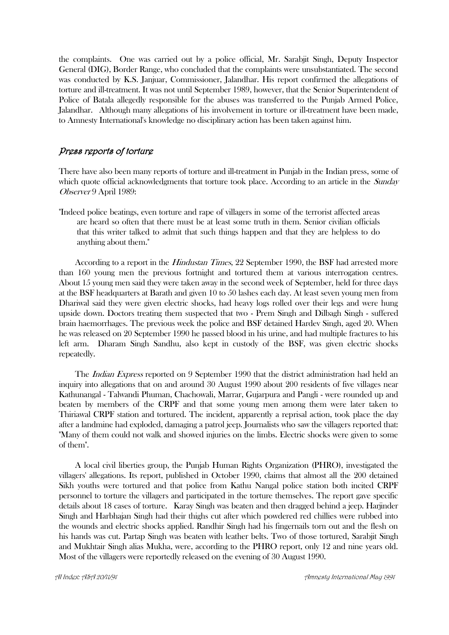the complaints. One was carried out by a police official, Mr. Sarabjit Singh, Deputy Inspector General (DIG), Border Range, who concluded that the complaints were unsubstantiated. The second was conducted by K.S. Janjuar, Commissioner, Jalandhar. His report confirmed the allegations of torture and ill-treatment. It was not until September 1989, however, that the Senior Superintendent of Police of Batala allegedly responsible for the abuses was transferred to the Punjab Armed Police, Jalandhar. Although many allegations of his involvement in torture or ill-treatment have been made, to Amnesty International's knowledge no disciplinary action has been taken against him.

## Press reports of torture

There have also been many reports of torture and ill-treatment in Punjab in the Indian press, some of which quote official acknowledgments that torture took place. According to an article in the *Sunday* Observer 9 April 1989:

"Indeed police beatings, even torture and rape of villagers in some of the terrorist affected areas are heard so often that there must be at least some truth in them. Senior civilian officials that this writer talked to admit that such things happen and that they are helpless to do anything about them."

According to a report in the *Hindustan Times*, 22 September 1990, the BSF had arrested more than 160 young men the previous fortnight and tortured them at various interrogation centres. About 15 young men said they were taken away in the second week of September, held for three days at the BSF headquarters at Barath and given 10 to 50 lashes each day. At least seven young men from Dhariwal said they were given electric shocks, had heavy logs rolled over their legs and were hung upside down. Doctors treating them suspected that two - Prem Singh and Dilbagh Singh - suffered brain haemorrhages. The previous week the police and BSF detained Hardev Singh, aged 20. When he was released on 20 September 1990 he passed blood in his urine, and had multiple fractures to his left arm. Dharam Singh Sandhu, also kept in custody of the BSF, was given electric shocks repeatedly.

The *Indian Express* reported on 9 September 1990 that the district administration had held an inquiry into allegations that on and around 30 August 1990 about 200 residents of five villages near Kathunangal - Talwandi Phuman, Chachowali, Marrar, Gujarpura and Pangli - were rounded up and beaten by members of the CRPF and that some young men among them were later taken to Thiriawal CRPF station and tortured. The incident, apparently a reprisal action, took place the day after a landmine had exploded, damaging a patrol jeep. Journalists who saw the villagers reported that: "Many of them could not walk and showed injuries on the limbs. Electric shocks were given to some of them".

 A local civil liberties group, the Punjab Human Rights Organization (PHRO), investigated the villagers' allegations. Its report, published in October 1990, claims that almost all the 200 detained Sikh youths were tortured and that police from Kathu Nangal police station both incited CRPF personnel to torture the villagers and participated in the torture themselves. The report gave specific details about 18 cases of torture. Karay Singh was beaten and then dragged behind a jeep. Harjinder Singh and Harbhajan Singh had their thighs cut after which powdered red chillies were rubbed into the wounds and electric shocks applied. Randhir Singh had his fingernails torn out and the flesh on his hands was cut. Partap Singh was beaten with leather belts. Two of those tortured, Sarabjit Singh and Mukhtair Singh alias Mukha, were, according to the PHRO report, only 12 and nine years old. Most of the villagers were reportedly released on the evening of 30 August 1990.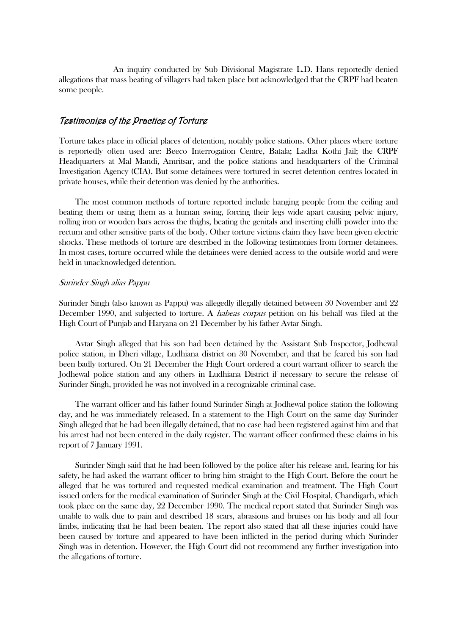An inquiry conducted by Sub Divisional Magistrate L.D. Hans reportedly denied allegations that mass beating of villagers had taken place but acknowledged that the CRPF had beaten some people.

## Testimonies of the Practice of Torture

Torture takes place in official places of detention, notably police stations. Other places where torture is reportedly often used are: Beeco Interrogation Centre, Batala; Ladha Kothi Jail; the CRPF Headquarters at Mal Mandi, Amritsar, and the police stations and headquarters of the Criminal Investigation Agency (CIA). But some detainees were tortured in secret detention centres located in private houses, while their detention was denied by the authorities.

 The most common methods of torture reported include hanging people from the ceiling and beating them or using them as a human swing, forcing their legs wide apart causing pelvic injury, rolling iron or wooden bars across the thighs, beating the genitals and inserting chilli powder into the rectum and other sensitive parts of the body. Other torture victims claim they have been given electric shocks. These methods of torture are described in the following testimonies from former detainees. In most cases, torture occurred while the detainees were denied access to the outside world and were held in unacknowledged detention.

#### Surinder Singh alias Pappu

Surinder Singh (also known as Pappu) was allegedly illegally detained between 30 November and 22 December 1990, and subjected to torture. A *habeas corpus* petition on his behalf was filed at the High Court of Punjab and Haryana on 21 December by his father Avtar Singh.

 Avtar Singh alleged that his son had been detained by the Assistant Sub Inspector, Jodhewal police station, in Dheri village, Ludhiana district on 30 November, and that he feared his son had been badly tortured. On 21 December the High Court ordered a court warrant officer to search the Jodhewal police station and any others in Ludhiana District if necessary to secure the release of Surinder Singh, provided he was not involved in a recognizable criminal case.

 The warrant officer and his father found Surinder Singh at Jodhewal police station the following day, and he was immediately released. In a statement to the High Court on the same day Surinder Singh alleged that he had been illegally detained, that no case had been registered against him and that his arrest had not been entered in the daily register. The warrant officer confirmed these claims in his report of 7 January 1991.

 Surinder Singh said that he had been followed by the police after his release and, fearing for his safety, he had asked the warrant officer to bring him straight to the High Court. Before the court he alleged that he was tortured and requested medical examination and treatment. The High Court issued orders for the medical examination of Surinder Singh at the Civil Hospital, Chandigarh, which took place on the same day, 22 December 1990. The medical report stated that Surinder Singh was unable to walk due to pain and described 18 scars, abrasions and bruises on his body and all four limbs, indicating that he had been beaten. The report also stated that all these injuries could have been caused by torture and appeared to have been inflicted in the period during which Surinder Singh was in detention. However, the High Court did not recommend any further investigation into the allegations of torture.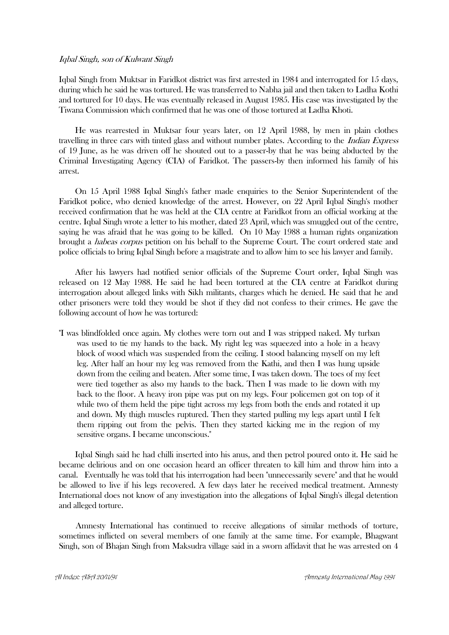#### Iqbal Singh, son of Kulwant Singh

Iqbal Singh from Muktsar in Faridkot district was first arrested in 1984 and interrogated for 15 days, during which he said he was tortured. He was transferred to Nabha jail and then taken to Ladha Kothi and tortured for 10 days. He was eventually released in August 1985. His case was investigated by the Tiwana Commission which confirmed that he was one of those tortured at Ladha Khoti.

 He was rearrested in Muktsar four years later, on 12 April 1988, by men in plain clothes travelling in three cars with tinted glass and without number plates. According to the Indian Express of 19 June, as he was driven off he shouted out to a passer-by that he was being abducted by the Criminal Investigating Agency (CIA) of Faridkot. The passers-by then informed his family of his arrest.

 On 15 April 1988 Iqbal Singh's father made enquiries to the Senior Superintendent of the Faridkot police, who denied knowledge of the arrest. However, on 22 April Iqbal Singh's mother received confirmation that he was held at the CIA centre at Faridkot from an official working at the centre. Iqbal Singh wrote a letter to his mother, dated 23 April, which was smuggled out of the centre, saying he was afraid that he was going to be killed. On 10 May 1988 a human rights organization brought a habeas corpus petition on his behalf to the Supreme Court. The court ordered state and police officials to bring Iqbal Singh before a magistrate and to allow him to see his lawyer and family.

 After his lawyers had notified senior officials of the Supreme Court order, Iqbal Singh was released on 12 May 1988. He said he had been tortured at the CIA centre at Faridkot during interrogation about alleged links with Sikh militants, charges which he denied. He said that he and other prisoners were told they would be shot if they did not confess to their crimes. He gave the following account of how he was tortured:

"I was blindfolded once again. My clothes were torn out and I was stripped naked. My turban was used to tie my hands to the back. My right leg was squeezed into a hole in a heavy block of wood which was suspended from the ceiling. I stood balancing myself on my left leg. After half an hour my leg was removed from the Kathi, and then I was hung upside down from the ceiling and beaten. After some time, I was taken down. The toes of my feet were tied together as also my hands to the back. Then I was made to lie down with my back to the floor. A heavy iron pipe was put on my legs. Four policemen got on top of it while two of them held the pipe tight across my legs from both the ends and rotated it up and down. My thigh muscles ruptured. Then they started pulling my legs apart until I felt them ripping out from the pelvis. Then they started kicking me in the region of my sensitive organs. I became unconscious."

 Iqbal Singh said he had chilli inserted into his anus, and then petrol poured onto it. He said he became delirious and on one occasion heard an officer threaten to kill him and throw him into a canal. Eventually he was told that his interrogation had been "unnecessarily severe" and that he would be allowed to live if his legs recovered. A few days later he received medical treatment. Amnesty International does not know of any investigation into the allegations of Iqbal Singh's illegal detention and alleged torture.

Amnesty International has continued to receive allegations of similar methods of torture, sometimes inflicted on several members of one family at the same time. For example, Bhagwant Singh, son of Bhajan Singh from Maksudra village said in a sworn affidavit that he was arrested on 4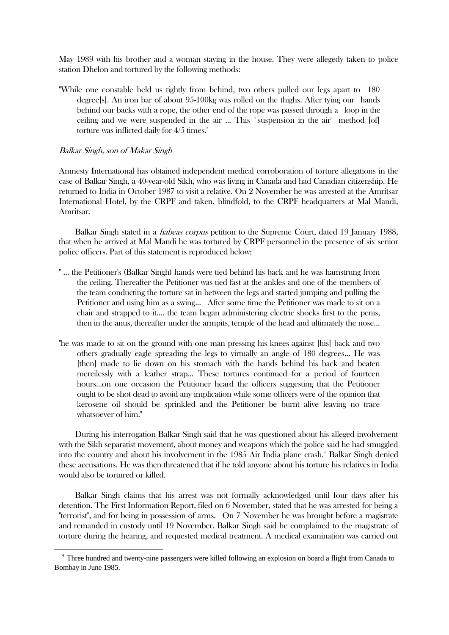May 1989 with his brother and a woman staying in the house. They were allegedy taken to police station Dhelon and tortured by the following methods:

"While one constable held us tightly from behind, two others pulled our legs apart to 180 degree[s]. An iron bar of about 95-100kg was rolled on the thighs. After tying our hands behind our backs with a rope, the other end of the rope was passed through a loop in the ceiling and we were suspended in the air ... This `suspension in the air' method [of] torture was inflicted daily for 4/5 times."

#### Balkar Singh, son of Makar Singh

1

Amnesty International has obtained independent medical corroboration of torture allegations in the case of Balkar Singh, a 40-year-old Sikh, who was living in Canada and had Canadian citizenship. He returned to India in October 1987 to visit a relative. On 2 November he was arrested at the Amritsar International Hotel, by the CRPF and taken, blindfold, to the CRPF headquarters at Mal Mandi, Amritsar.

Balkar Singh stated in a *habeas corpus* petition to the Supreme Court, dated 19 January 1988, that when he arrived at Mal Mandi he was tortured by CRPF personnel in the presence of six senior police officers. Part of this statement is reproduced below:

- " ... the Petitioner's (Balkar Singh) hands were tied behind his back and he was hamstrung from the ceiling. Thereafter the Petitioner was tied fast at the ankles and one of the members of the team conducting the torture sat in between the legs and started jumping and pulling the Petitioner and using him as a swing... After some time the Petitioner was made to sit on a chair and strapped to it.... the team began administering electric shocks first to the penis, then in the anus, thereafter under the armpits, temple of the head and ultimately the nose...
- "he was made to sit on the ground with one man pressing his knees against [his] back and two others gradually eagle spreading the legs to virtually an angle of 180 degrees... He was [then] made to lie down on his stomach with the hands behind his back and beaten mercilessly with a leather strap... These tortures continued for a period of fourteen hours...on one occasion the Petitioner heard the officers suggesting that the Petitioner ought to be shot dead to avoid any implication while some officers were of the opinion that kerosene oil should be sprinkled and the Petitioner be burnt alive leaving no trace whatsoever of him."

 During his interrogation Balkar Singh said that he was questioned about his alleged involvement with the Sikh separatist movement, about money and weapons which the police said he had smuggled into the country and about his involvement in the 1985 Air India plane crash.<sup>9</sup> Balkar Singh denied these accusations. He was then threatened that if he told anyone about his torture his relatives in India would also be tortured or killed.

 Balkar Singh claims that his arrest was not formally acknowledged until four days after his detention. The First Information Report, filed on 6 November, stated that he was arrested for being a "terrorist", and for being in possession of arms. On 7 November he was brought before a magistrate and remanded in custody until 19 November. Balkar Singh said he complained to the magistrate of torture during the hearing, and requested medical treatment. A medical examination was carried out

<sup>&</sup>lt;sup>9</sup> Three hundred and twenty-nine passengers were killed following an explosion on board a flight from Canada to Bombay in June 1985.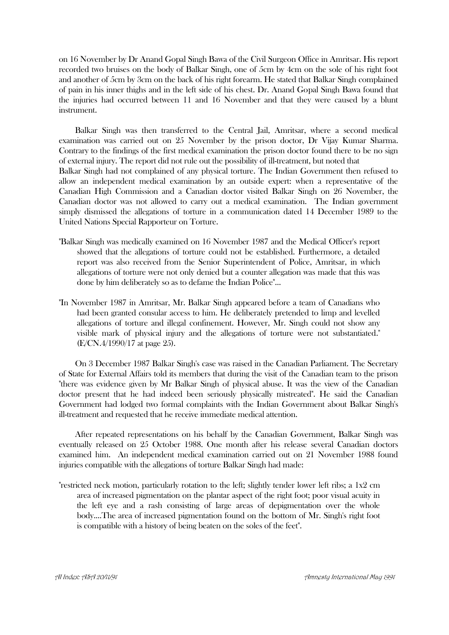on 16 November by Dr Anand Gopal Singh Bawa of the Civil Surgeon Office in Amritsar. His report recorded two bruises on the body of Balkar Singh, one of 5cm by 4cm on the sole of his right foot and another of 5cm by 3cm on the back of his right forearm. He stated that Balkar Singh complained of pain in his inner thighs and in the left side of his chest. Dr. Anand Gopal Singh Bawa found that the injuries had occurred between 11 and 16 November and that they were caused by a blunt instrument.

 Balkar Singh was then transferred to the Central Jail, Amritsar, where a second medical examination was carried out on 25 November by the prison doctor, Dr Vijay Kumar Sharma. Contrary to the findings of the first medical examination the prison doctor found there to be no sign of external injury. The report did not rule out the possibility of ill-treatment, but noted that Balkar Singh had not complained of any physical torture. The Indian Government then refused to allow an independent medical examination by an outside expert: when a representative of the Canadian High Commission and a Canadian doctor visited Balkar Singh on 26 November, the Canadian doctor was not allowed to carry out a medical examination. The Indian government simply dismissed the allegations of torture in a communication dated 14 December 1989 to the United Nations Special Rapporteur on Torture.

- "Balkar Singh was medically examined on 16 November 1987 and the Medical Officer's report showed that the allegations of torture could not be established. Furthermore, a detailed report was also received from the Senior Superintendent of Police, Amritsar, in which allegations of torture were not only denied but a counter allegation was made that this was done by him deliberately so as to defame the Indian Police"...
- "In November 1987 in Amritsar, Mr. Balkar Singh appeared before a team of Canadians who had been granted consular access to him. He deliberately pretended to limp and levelled allegations of torture and illegal confinement. However, Mr. Singh could not show any visible mark of physical injury and the allegations of torture were not substantiated." (E/CN.4/1990/17 at page 25).

 On 3 December 1987 Balkar Singh's case was raised in the Canadian Parliament. The Secretary of State for External Affairs told its members that during the visit of the Canadian team to the prison "there was evidence given by Mr Balkar Singh of physical abuse. It was the view of the Canadian doctor present that he had indeed been seriously physically mistreated". He said the Canadian Government had lodged two formal complaints with the Indian Government about Balkar Singh's ill-treatment and requested that he receive immediate medical attention.

 After repeated representations on his behalf by the Canadian Government, Balkar Singh was eventually released on 25 October 1988. One month after his release several Canadian doctors examined him. An independent medical examination carried out on 21 November 1988 found injuries compatible with the allegations of torture Balkar Singh had made:

"restricted neck motion, particularly rotation to the left; slightly tender lower left ribs; a 1x2 cm area of increased pigmentation on the plantar aspect of the right foot; poor visual acuity in the left eye and a rash consisting of large areas of depigmentation over the whole body....The area of increased pigmentation found on the bottom of Mr. Singh's right foot is compatible with a history of being beaten on the soles of the feet".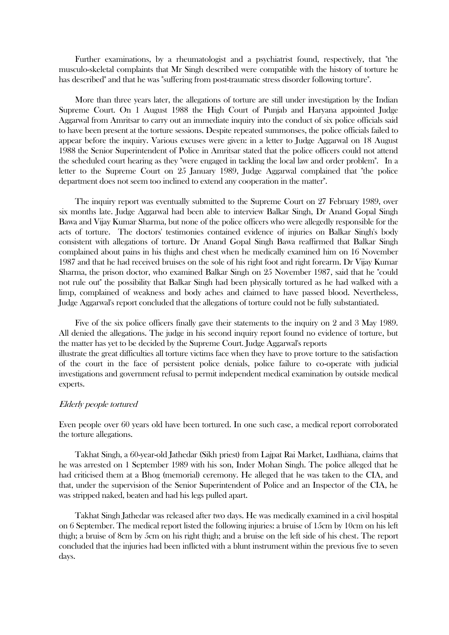Further examinations, by a rheumatologist and a psychiatrist found, respectively, that "the musculo-skeletal complaints that Mr Singh described were compatible with the history of torture he has described" and that he was "suffering from post-traumatic stress disorder following torture".

 More than three years later, the allegations of torture are still under investigation by the Indian Supreme Court. On 1 August 1988 the High Court of Punjab and Haryana appointed Judge Aggarwal from Amritsar to carry out an immediate inquiry into the conduct of six police officials said to have been present at the torture sessions. Despite repeated summonses, the police officials failed to appear before the inquiry. Various excuses were given: in a letter to Judge Aggarwal on 18 August 1988 the Senior Superintendent of Police in Amritsar stated that the police officers could not attend the scheduled court hearing as they "were engaged in tackling the local law and order problem". In a letter to the Supreme Court on 25 January 1989, Judge Aggarwal complained that "the police department does not seem too inclined to extend any cooperation in the matter".

 The inquiry report was eventually submitted to the Supreme Court on 27 February 1989, over six months late. Judge Aggarwal had been able to interview Balkar Singh, Dr Anand Gopal Singh Bawa and Vijay Kumar Sharma, but none of the police officers who were allegedly responsible for the acts of torture. The doctors' testimonies contained evidence of injuries on Balkar Singh's body consistent with allegations of torture. Dr Anand Gopal Singh Bawa reaffirmed that Balkar Singh complained about pains in his thighs and chest when he medically examined him on 16 November 1987 and that he had received bruises on the sole of his right foot and right forearm. Dr Vijay Kumar Sharma, the prison doctor, who examined Balkar Singh on 25 November 1987, said that he "could not rule out" the possibility that Balkar Singh had been physically tortured as he had walked with a limp, complained of weakness and body aches and claimed to have passed blood. Nevertheless, Judge Aggarwal's report concluded that the allegations of torture could not be fully substantiated.

 Five of the six police officers finally gave their statements to the inquiry on 2 and 3 May 1989. All denied the allegations. The judge in his second inquiry report found no evidence of torture, but the matter has yet to be decided by the Supreme Court. Judge Aggarwal's reports illustrate the great difficulties all torture victims face when they have to prove torture to the satisfaction of the court in the face of persistent police denials, police failure to co-operate with judicial investigations and government refusal to permit independent medical examination by outside medical experts.

#### Elderly people tortured

Even people over 60 years old have been tortured. In one such case, a medical report corroborated the torture allegations.

 Takhat Singh, a 60-year-old Jathedar (Sikh priest) from Lajpat Rai Market, Ludhiana, claims that he was arrested on 1 September 1989 with his son, Inder Mohan Singh. The police alleged that he had criticised them at a Bhog (memorial) ceremony. He alleged that he was taken to the CIA, and that, under the supervision of the Senior Superintendent of Police and an Inspector of the CIA, he was stripped naked, beaten and had his legs pulled apart.

 Takhat Singh Jathedar was released after two days. He was medically examined in a civil hospital on 6 September. The medical report listed the following injuries: a bruise of 15cm by 10cm on his left thigh; a bruise of 8cm by 5cm on his right thigh; and a bruise on the left side of his chest. The report concluded that the injuries had been inflicted with a blunt instrument within the previous five to seven days.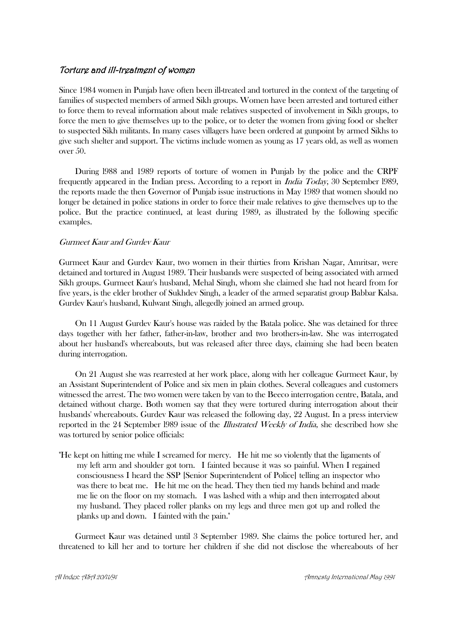## Torture and ill-treatment of women

Since 1984 women in Punjab have often been ill-treated and tortured in the context of the targeting of families of suspected members of armed Sikh groups. Women have been arrested and tortured either to force them to reveal information about male relatives suspected of involvement in Sikh groups, to force the men to give themselves up to the police, or to deter the women from giving food or shelter to suspected Sikh militants. In many cases villagers have been ordered at gunpoint by armed Sikhs to give such shelter and support. The victims include women as young as 17 years old, as well as women over 50.

 During l988 and 1989 reports of torture of women in Punjab by the police and the CRPF frequently appeared in the Indian press. According to a report in India Today, 30 September l989, the reports made the then Governor of Punjab issue instructions in May 1989 that women should no longer be detained in police stations in order to force their male relatives to give themselves up to the police. But the practice continued, at least during 1989, as illustrated by the following specific examples.

## Gurmeet Kaur and Gurdev Kaur

Gurmeet Kaur and Gurdev Kaur, two women in their thirties from Krishan Nagar, Amritsar, were detained and tortured in August 1989. Their husbands were suspected of being associated with armed Sikh groups. Gurmeet Kaur's husband, Mehal Singh, whom she claimed she had not heard from for five years, is the elder brother of Sukhdev Singh, a leader of the armed separatist group Babbar Kalsa. Gurdev Kaur's husband, Kulwant Singh, allegedly joined an armed group.

 On 11 August Gurdev Kaur's house was raided by the Batala police. She was detained for three days together with her father, father-in-law, brother and two brothers-in-law. She was interrogated about her husband's whereabouts, but was released after three days, claiming she had been beaten during interrogation.

 On 21 August she was rearrested at her work place, along with her colleague Gurmeet Kaur, by an Assistant Superintendent of Police and six men in plain clothes. Several colleagues and customers witnessed the arrest. The two women were taken by van to the Beeco interrogation centre, Batala, and detained without charge. Both women say that they were tortured during interrogation about their husbands' whereabouts. Gurdev Kaur was released the following day, 22 August. In a press interview reported in the 24 September l989 issue of the Illustrated Weekly of India, she described how she was tortured by senior police officials:

"He kept on hitting me while I screamed for mercy. He hit me so violently that the ligaments of my left arm and shoulder got torn. I fainted because it was so painful. When I regained consciousness I heard the SSP [Senior Superintendent of Police] telling an inspector who was there to beat me. He hit me on the head. They then tied my hands behind and made me lie on the floor on my stomach. I was lashed with a whip and then interrogated about my husband. They placed roller planks on my legs and three men got up and rolled the planks up and down. I fainted with the pain."

 Gurmeet Kaur was detained until 3 September 1989. She claims the police tortured her, and threatened to kill her and to torture her children if she did not disclose the whereabouts of her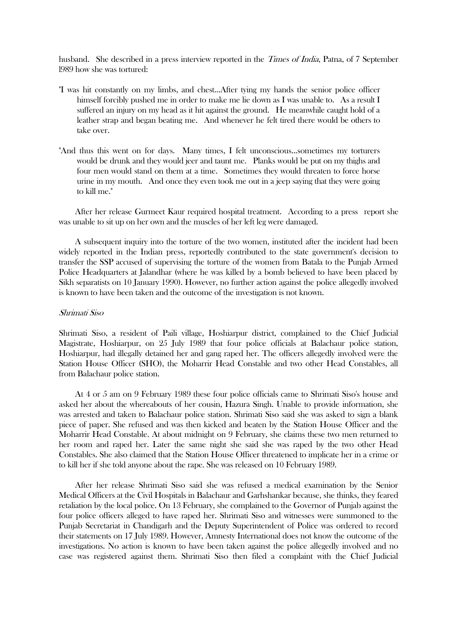husband. She described in a press interview reported in the *Times of India*, Patna, of 7 September l989 how she was tortured:

- "I was hit constantly on my limbs, and chest...After tying my hands the senior police officer himself forcibly pushed me in order to make me lie down as I was unable to. As a result I suffered an injury on my head as it hit against the ground. He meanwhile caught hold of a leather strap and began beating me. And whenever he felt tired there would be others to take over.
- "And thus this went on for days. Many times, I felt unconscious...sometimes my torturers would be drunk and they would jeer and taunt me. Planks would be put on my thighs and four men would stand on them at a time. Sometimes they would threaten to force horse urine in my mouth. And once they even took me out in a jeep saying that they were going to kill me."

 After her release Gurmeet Kaur required hospital treatment. According to a press report she was unable to sit up on her own and the muscles of her left leg were damaged.

 A subsequent inquiry into the torture of the two women, instituted after the incident had been widely reported in the Indian press, reportedly contributed to the state government's decision to transfer the SSP accused of supervising the torture of the women from Batala to the Punjab Armed Police Headquarters at Jalandhar (where he was killed by a bomb believed to have been placed by Sikh separatists on 10 January 1990). However, no further action against the police allegedly involved is known to have been taken and the outcome of the investigation is not known.

#### Shrimati Siso

Shrimati Siso, a resident of Paili village, Hoshiarpur district, complained to the Chief Judicial Magistrate, Hoshiarpur, on 25 July 1989 that four police officials at Balachaur police station, Hoshiarpur, had illegally detained her and gang raped her. The officers allegedly involved were the Station House Officer (SHO), the Moharrir Head Constable and two other Head Constables, all from Balachaur police station.

 At 4 or 5 am on 9 February 1989 these four police officials came to Shrimati Siso's house and asked her about the whereabouts of her cousin, Hazura Singh. Unable to provide information, she was arrested and taken to Balachaur police station. Shrimati Siso said she was asked to sign a blank piece of paper. She refused and was then kicked and beaten by the Station House Officer and the Moharrir Head Constable. At about midnight on 9 February, she claims these two men returned to her room and raped her. Later the same night she said she was raped by the two other Head Constables. She also claimed that the Station House Officer threatened to implicate her in a crime or to kill her if she told anyone about the rape. She was released on 10 February 1989.

 After her release Shrimati Siso said she was refused a medical examination by the Senior Medical Officers at the Civil Hospitals in Balachaur and Garhshankar because, she thinks, they feared retaliation by the local police. On 13 February, she complained to the Governor of Punjab against the four police officers alleged to have raped her. Shrimati Siso and witnesses were summoned to the Punjab Secretariat in Chandigarh and the Deputy Superintendent of Police was ordered to record their statements on 17 July 1989. However, Amnesty International does not know the outcome of the investigations. No action is known to have been taken against the police allegedly involved and no case was registered against them. Shrimati Siso then filed a complaint with the Chief Judicial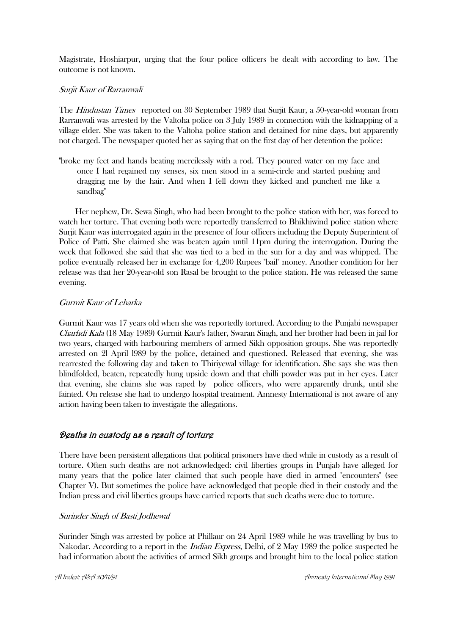Magistrate, Hoshiarpur, urging that the four police officers be dealt with according to law. The outcome is not known.

## Surjit Kaur of Rarranwali

The *Hindustan Times* reported on 30 September 1989 that Surjit Kaur, a 50-year-old woman from Rarranwali was arrested by the Valtoha police on 3 July 1989 in connection with the kidnapping of a village elder. She was taken to the Valtoha police station and detained for nine days, but apparently not charged. The newspaper quoted her as saying that on the first day of her detention the police:

"broke my feet and hands beating mercilessly with a rod. They poured water on my face and once I had regained my senses, six men stood in a semi-circle and started pushing and dragging me by the hair. And when I fell down they kicked and punched me like a sandbag"

 Her nephew, Dr. Sewa Singh, who had been brought to the police station with her, was forced to watch her torture. That evening both were reportedly transferred to Bhikhiwind police station where Surjit Kaur was interrogated again in the presence of four officers including the Deputy Superintent of Police of Patti. She claimed she was beaten again until 11pm during the interrogation. During the week that followed she said that she was tied to a bed in the sun for a day and was whipped. The police eventually released her in exchange for 4,200 Rupees "bail" money. Another condition for her release was that her 20-year-old son Rasal be brought to the police station. He was released the same evening.

## Gurmit Kaur of Leharka

Gurmit Kaur was 17 years old when she was reportedly tortured. According to the Punjabi newspaper Charhdi Kala (18 May 1989) Gurmit Kaur's father, Swaran Singh, and her brother had been in jail for two years, charged with harbouring members of armed Sikh opposition groups. She was reportedly arrested on 2l April l989 by the police, detained and questioned. Released that evening, she was rearrested the following day and taken to Thiriyewal village for identification. She says she was then blindfolded, beaten, repeatedly hung upside down and that chilli powder was put in her eyes. Later that evening, she claims she was raped by police officers, who were apparently drunk, until she fainted. On release she had to undergo hospital treatment. Amnesty International is not aware of any action having been taken to investigate the allegations.

# Deaths in custody as a result of torture

There have been persistent allegations that political prisoners have died while in custody as a result of torture. Often such deaths are not acknowledged: civil liberties groups in Punjab have alleged for many years that the police later claimed that such people have died in armed "encounters" (see Chapter V). But sometimes the police have acknowledged that people died in their custody and the Indian press and civil liberties groups have carried reports that such deaths were due to torture.

## Surinder Singh of Basti Jodhewal

Surinder Singh was arrested by police at Phillaur on 24 April 1989 while he was travelling by bus to Nakodar. According to a report in the *Indian Express*, Delhi, of 2 May 1989 the police suspected he had information about the activities of armed Sikh groups and brought him to the local police station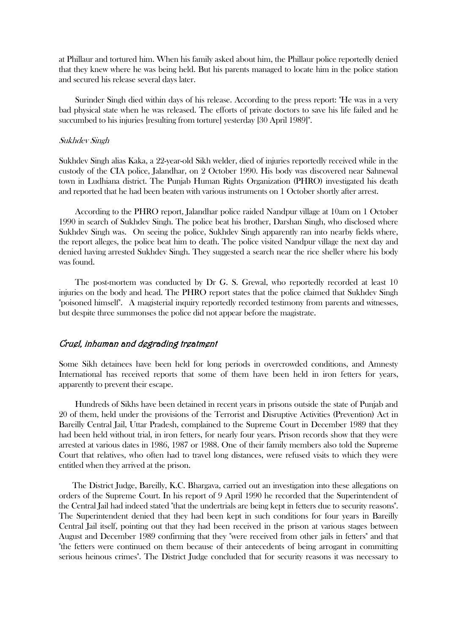at Phillaur and tortured him. When his family asked about him, the Phillaur police reportedly denied that they knew where he was being held. But his parents managed to locate him in the police station and secured his release several days later.

 Surinder Singh died within days of his release. According to the press report: "He was in a very bad physical state when he was released. The efforts of private doctors to save his life failed and he succumbed to his injuries [resulting from torture] yesterday [30 April 1989]".

#### Sukhdev Singh

Sukhdev Singh alias Kaka, a 22-year-old Sikh welder, died of injuries reportedly received while in the custody of the CIA police, Jalandhar, on 2 October 1990. His body was discovered near Sahnewal town in Ludhiana district. The Punjab Human Rights Organization (PHRO) investigated his death and reported that he had been beaten with various instruments on 1 October shortly after arrest.

 According to the PHRO report, Jalandhar police raided Nandpur village at 10am on 1 October 1990 in search of Sukhdev Singh. The police beat his brother, Darshan Singh, who disclosed where Sukhdev Singh was. On seeing the police, Sukhdev Singh apparently ran into nearby fields where, the report alleges, the police beat him to death. The police visited Nandpur village the next day and denied having arrested Sukhdev Singh. They suggested a search near the rice sheller where his body was found.

 The post-mortem was conducted by Dr G. S. Grewal, who reportedly recorded at least 10 injuries on the body and head. The PHRO report states that the police claimed that Sukhdev Singh "poisoned himself". A magisterial inquiry reportedly recorded testimony from parents and witnesses, but despite three summonses the police did not appear before the magistrate.

## Cruel, inhuman and degrading treatment

Some Sikh detainees have been held for long periods in overcrowded conditions, and Amnesty International has received reports that some of them have been held in iron fetters for years, apparently to prevent their escape.

 Hundreds of Sikhs have been detained in recent years in prisons outside the state of Punjab and 20 of them, held under the provisions of the Terrorist and Disruptive Activities (Prevention) Act in Bareilly Central Jail, Uttar Pradesh, complained to the Supreme Court in December 1989 that they had been held without trial, in iron fetters, for nearly four years. Prison records show that they were arrested at various dates in 1986, 1987 or 1988. One of their family members also told the Supreme Court that relatives, who often had to travel long distances, were refused visits to which they were entitled when they arrived at the prison.

The District Judge, Bareilly, K.C. Bhargava, carried out an investigation into these allegations on orders of the Supreme Court. In his report of 9 April 1990 he recorded that the Superintendent of the Central Jail had indeed stated "that the undertrials are being kept in fetters due to security reasons". The Superintendent denied that they had been kept in such conditions for four years in Bareilly Central Jail itself, pointing out that they had been received in the prison at various stages between August and December 1989 confirming that they "were received from other jails in fetters" and that "the fetters were continued on them because of their antecedents of being arrogant in committing serious heinous crimes". The District Judge concluded that for security reasons it was necessary to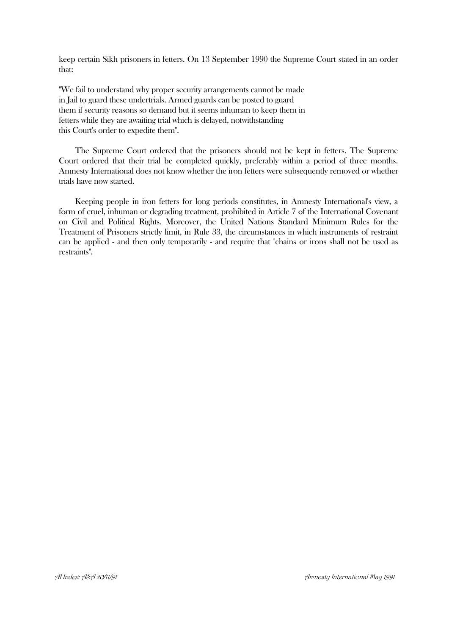keep certain Sikh prisoners in fetters. On 13 September 1990 the Supreme Court stated in an order that:

"We fail to understand why proper security arrangements cannot be made in Jail to guard these undertrials. Armed guards can be posted to guard them if security reasons so demand but it seems inhuman to keep them in fetters while they are awaiting trial which is delayed, notwithstanding this Court's order to expedite them".

 The Supreme Court ordered that the prisoners should not be kept in fetters. The Supreme Court ordered that their trial be completed quickly, preferably within a period of three months. Amnesty International does not know whether the iron fetters were subsequently removed or whether trials have now started.

 Keeping people in iron fetters for long periods constitutes, in Amnesty International's view, a form of cruel, inhuman or degrading treatment, prohibited in Article 7 of the International Covenant on Civil and Political Rights. Moreover, the United Nations Standard Minimum Rules for the Treatment of Prisoners strictly limit, in Rule 33, the circumstances in which instruments of restraint can be applied - and then only temporarily - and require that "chains or irons shall not be used as restraints".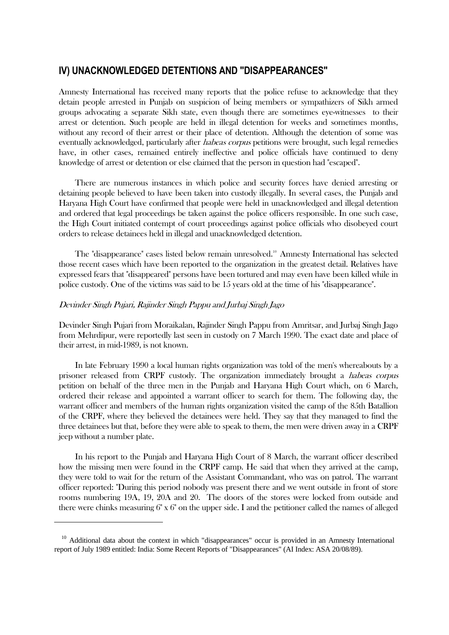# **IV) UNACKNOWLEDGED DETENTIONS AND "DISAPPEARANCES"**

Amnesty International has received many reports that the police refuse to acknowledge that they detain people arrested in Punjab on suspicion of being members or sympathizers of Sikh armed groups advocating a separate Sikh state, even though there are sometimes eye-witnesses to their arrest or detention. Such people are held in illegal detention for weeks and sometimes months, without any record of their arrest or their place of detention. Although the detention of some was eventually acknowledged, particularly after *habeas corpus* petitions were brought, such legal remedies have, in other cases, remained entirely ineffective and police officials have continued to deny knowledge of arrest or detention or else claimed that the person in question had "escaped".

 There are numerous instances in which police and security forces have denied arresting or detaining people believed to have been taken into custody illegally. In several cases, the Punjab and Haryana High Court have confirmed that people were held in unacknowledged and illegal detention and ordered that legal proceedings be taken against the police officers responsible. In one such case, the High Court initiated contempt of court proceedings against police officials who disobeyed court orders to release detainees held in illegal and unacknowledged detention.

 The "disappearance" cases listed below remain unresolved.<sup>10</sup> Amnesty International has selected those recent cases which have been reported to the organization in the greatest detail. Relatives have expressed fears that "disappeared" persons have been tortured and may even have been killed while in police custody. One of the victims was said to be 15 years old at the time of his "disappearance".

## Devinder Singh Pujari, Rajinder Singh Pappu and Jurbaj Singh Jago

1

Devinder Singh Pujari from Moraikalan, Rajinder Singh Pappu from Amritsar, and Jurbaj Singh Jago from Mehrdipur, were reportedly last seen in custody on 7 March 1990. The exact date and place of their arrest, in mid-1989, is not known.

 In late February 1990 a local human rights organization was told of the men's whereabouts by a prisoner released from CRPF custody. The organization immediately brought a habeas corpus petition on behalf of the three men in the Punjab and Haryana High Court which, on 6 March, ordered their release and appointed a warrant officer to search for them. The following day, the warrant officer and members of the human rights organization visited the camp of the 85th Batallion of the CRPF, where they believed the detainees were held. They say that they managed to find the three detainees but that, before they were able to speak to them, the men were driven away in a CRPF jeep without a number plate.

 In his report to the Punjab and Haryana High Court of 8 March, the warrant officer described how the missing men were found in the CRPF camp. He said that when they arrived at the camp, they were told to wait for the return of the Assistant Commandant, who was on patrol. The warrant officer reported: "During this period nobody was present there and we went outside in front of store rooms numbering 19A, 19, 20A and 20. The doors of the stores were locked from outside and there were chinks measuring 6" x 6" on the upper side. I and the petitioner called the names of alleged

<sup>&</sup>lt;sup>10</sup> Additional data about the context in which "disappearances" occur is provided in an Amnesty International report of July 1989 entitled: India: Some Recent Reports of "Disappearances" (AI Index: ASA 20/08/89).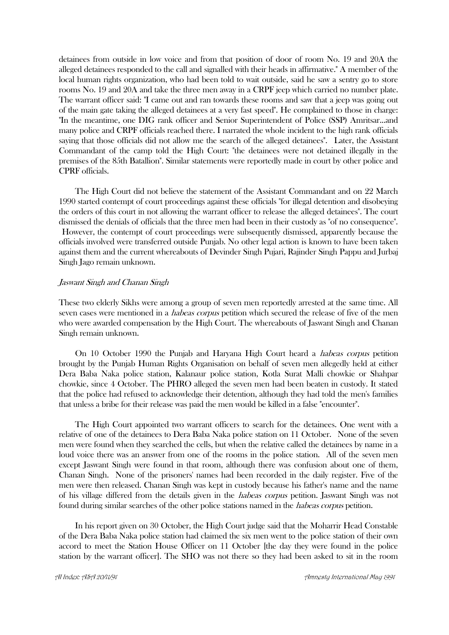detainees from outside in low voice and from that position of door of room No. 19 and 20A the alleged detainees responded to the call and signalled with their heads in affirmative." A member of the local human rights organization, who had been told to wait outside, said he saw a sentry go to store rooms No. 19 and 20A and take the three men away in a CRPF jeep which carried no number plate. The warrant officer said: "I came out and ran towards these rooms and saw that a jeep was going out of the main gate taking the alleged detainees at a very fast speed". He complained to those in charge: "In the meantime, one DIG rank officer and Senior Superintendent of Police (SSP) Amritsar...and many police and CRPF officials reached there. I narrated the whole incident to the high rank officials saying that those officials did not allow me the search of the alleged detainees". Later, the Assistant Commandant of the camp told the High Court: "the detainees were not detained illegally in the premises of the 85th Batallion". Similar statements were reportedly made in court by other police and CPRF officials.

 The High Court did not believe the statement of the Assistant Commandant and on 22 March 1990 started contempt of court proceedings against these officials "for illegal detention and disobeying the orders of this court in not allowing the warrant officer to release the alleged detainees". The court dismissed the denials of officials that the three men had been in their custody as "of no consequence". However, the contempt of court proceedings were subsequently dismissed, apparently because the officials involved were transferred outside Punjab. No other legal action is known to have been taken against them and the current whereabouts of Devinder Singh Pujari, Rajinder Singh Pappu and Jurbaj Singh Jago remain unknown.

#### Jaswant Singh and Chanan Singh

These two elderly Sikhs were among a group of seven men reportedly arrested at the same time. All seven cases were mentioned in a *habeas corpus* petition which secured the release of five of the men who were awarded compensation by the High Court. The whereabouts of Jaswant Singh and Chanan Singh remain unknown.

 On 10 October 1990 the Punjab and Haryana High Court heard a habeas corpus petition brought by the Punjab Human Rights Organisation on behalf of seven men allegedly held at either Dera Baba Naka police station, Kalanaur police station, Kotla Surat Malli chowkie or Shahpar chowkie, since 4 October. The PHRO alleged the seven men had been beaten in custody. It stated that the police had refused to acknowledge their detention, although they had told the men's families that unless a bribe for their release was paid the men would be killed in a false "encounter".

 The High Court appointed two warrant officers to search for the detainees. One went with a relative of one of the detainees to Dera Baba Naka police station on 11 October. None of the seven men were found when they searched the cells, but when the relative called the detainees by name in a loud voice there was an answer from one of the rooms in the police station. All of the seven men except Jaswant Singh were found in that room, although there was confusion about one of them, Chanan Singh. None of the prisoners' names had been recorded in the daily register. Five of the men were then released. Chanan Singh was kept in custody because his father's name and the name of his village differed from the details given in the habeas corpus petition. Jaswant Singh was not found during similar searches of the other police stations named in the habeas corpus petition.

 In his report given on 30 October, the High Court judge said that the Moharrir Head Constable of the Dera Baba Naka police station had claimed the six men went to the police station of their own accord to meet the Station House Officer on 11 October [the day they were found in the police station by the warrant officer]. The SHO was not there so they had been asked to sit in the room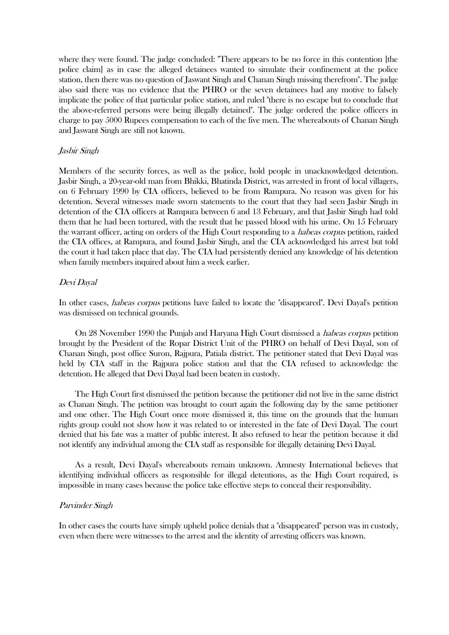where they were found. The judge concluded: "There appears to be no force in this contention [the police claim] as in case the alleged detainees wanted to simulate their confinement at the police station, then there was no question of Jaswant Singh and Chanan Singh missing therefrom". The judge also said there was no evidence that the PHRO or the seven detainees had any motive to falsely implicate the police of that particular police station, and ruled "there is no escape but to conclude that the above-referred persons were being illegally detained". The judge ordered the police officers in charge to pay 5000 Rupees compensation to each of the five men. The whereabouts of Chanan Singh and Jaswant Singh are still not known.

#### Jasbir Singh

Members of the security forces, as well as the police, hold people in unacknowledged detention. Jasbir Singh, a 20-year-old man from Bhikki, Bhatinda District, was arrested in front of local villagers, on 6 February 1990 by CIA officers, believed to be from Rampura. No reason was given for his detention. Several witnesses made sworn statements to the court that they had seen Jasbir Singh in detention of the CIA officers at Rampura between 6 and 13 February, and that Jasbir Singh had told them that he had been tortured, with the result that he passed blood with his urine. On 15 February the warrant officer, acting on orders of the High Court responding to a *habeas corpus* petition, raided the CIA offices, at Rampura, and found Jasbir Singh, and the CIA acknowledged his arrest but told the court it had taken place that day. The CIA had persistently denied any knowledge of his detention when family members inquired about him a week earlier.

#### Devi Dayal

In other cases, *habeas corpus* petitions have failed to locate the "disappeared". Devi Dayal's petition was dismissed on technical grounds.

 On 28 November 1990 the Punjab and Haryana High Court dismissed a habeas corpus petition brought by the President of the Ropar District Unit of the PHRO on behalf of Devi Dayal, son of Chanan Singh, post office Suron, Rajpura, Patiala district. The petitioner stated that Devi Dayal was held by CIA staff in the Rajpura police station and that the CIA refused to acknowledge the detention. He alleged that Devi Dayal had been beaten in custody.

 The High Court first dismissed the petition because the petitioner did not live in the same district as Chanan Singh. The petition was brought to court again the following day by the same petitioner and one other. The High Court once more dismissed it, this time on the grounds that the human rights group could not show how it was related to or interested in the fate of Devi Dayal. The court denied that his fate was a matter of public interest. It also refused to hear the petition because it did not identify any individual among the CIA staff as responsible for illegally detaining Devi Dayal.

 As a result, Devi Dayal's whereabouts remain unknown. Amnesty International believes that identifying individual officers as responsible for illegal detentions, as the High Court required, is impossible in many cases because the police take effective steps to conceal their responsibility.

#### Parvinder Singh

In other cases the courts have simply upheld police denials that a "disappeared" person was in custody, even when there were witnesses to the arrest and the identity of arresting officers was known.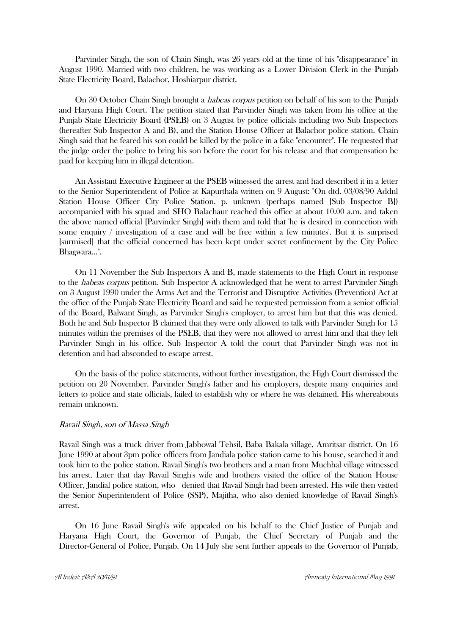Parvinder Singh, the son of Chain Singh, was 26 years old at the time of his "disappearance" in August 1990. Married with two children, he was working as a Lower Division Clerk in the Punjab State Electricity Board, Balachor, Hoshiarpur district.

On 30 October Chain Singh brought a *habeas corpus* petition on behalf of his son to the Punjab and Haryana High Court. The petition stated that Parvinder Singh was taken from his office at the Punjab State Electricity Board (PSEB) on 3 August by police officials including two Sub Inspectors (hereafter Sub Inspector A and B), and the Station House Officer at Balachor police station. Chain Singh said that he feared his son could be killed by the police in a fake "encounter". He requested that the judge order the police to bring his son before the court for his release and that compensation be paid for keeping him in illegal detention.

 An Assistant Executive Engineer at the PSEB witnessed the arrest and had described it in a letter to the Senior Superintendent of Police at Kapurthala written on 9 August: "On dtd. 03/08/90 Addnl Station House Officer City Police Station. p. unknwn (perhaps named [Sub Inspector B]) accompanied with his squad and SHO Balachaur reached this office at about 10.00 a.m. and taken the above named official [Parvinder Singh] with them and told that 'he is desired in connection with some enquiry / investigation of a case and will be free within a few minutes'. But it is surprised [surmised] that the official concerned has been kept under secret confinement by the City Police Bhagwara...".

 On 11 November the Sub Inspectors A and B, made statements to the High Court in response to the *habeas corpus* petition. Sub Inspector A acknowledged that he went to arrest Parvinder Singh on 3 August 1990 under the Arms Act and the Terrorist and Disruptive Activities (Prevention) Act at the office of the Punjab State Electricity Board and said he requested permission from a senior official of the Board, Balwant Singh, as Parvinder Singh's employer, to arrest him but that this was denied. Both he and Sub Inspector B claimed that they were only allowed to talk with Parvinder Singh for 15 minutes within the premises of the PSEB, that they were not allowed to arrest him and that they left Parvinder Singh in his office. Sub Inspector A told the court that Parvinder Singh was not in detention and had absconded to escape arrest.

 On the basis of the police statements, without further investigation, the High Court dismissed the petition on 20 November. Parvinder Singh's father and his employers, despite many enquiries and letters to police and state officials, failed to establish why or where he was detained. His whereabouts remain unknown.

#### Ravail Singh, son of Massa Singh

Ravail Singh was a truck driver from Jabbowal Tehsil, Baba Bakala village, Amritsar district. On 16 June 1990 at about 3pm police officers from Jandiala police station came to his house, searched it and took him to the police station. Ravail Singh's two brothers and a man from Muchhal village witnessed his arrest. Later that day Ravail Singh's wife and brothers visited the office of the Station House Officer, Jandial police station, who denied that Ravail Singh had been arrested. His wife then visited the Senior Superintendent of Police (SSP), Majitha, who also denied knowledge of Ravail Singh's arrest.

 On 16 June Ravail Singh's wife appealed on his behalf to the Chief Justice of Punjab and Haryana High Court, the Governor of Punjab, the Chief Secretary of Punjab and the Director-General of Police, Punjab. On 14 July she sent further appeals to the Governor of Punjab,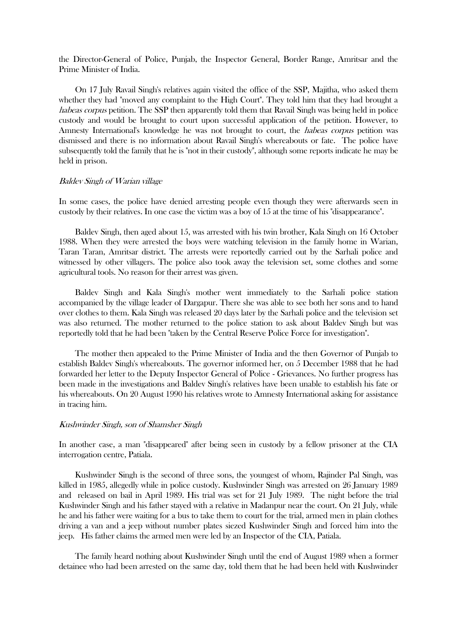the Director-General of Police, Punjab, the Inspector General, Border Range, Amritsar and the Prime Minister of India.

 On 17 July Ravail Singh's relatives again visited the office of the SSP, Majitha, who asked them whether they had "moved any complaint to the High Court". They told him that they had brought a habeas corpus petition. The SSP then apparently told them that Ravail Singh was being held in police custody and would be brought to court upon successful application of the petition. However, to Amnesty International's knowledge he was not brought to court, the *habeas corpus* petition was dismissed and there is no information about Ravail Singh's whereabouts or fate. The police have subsequently told the family that he is "not in their custody", although some reports indicate he may be held in prison.

#### Baldev Singh of Warian village

In some cases, the police have denied arresting people even though they were afterwards seen in custody by their relatives. In one case the victim was a boy of 15 at the time of his "disappearance".

 Baldev Singh, then aged about 15, was arrested with his twin brother, Kala Singh on 16 October 1988. When they were arrested the boys were watching television in the family home in Warian, Taran Taran, Amritsar district. The arrests were reportedly carried out by the Sarhali police and witnessed by other villagers. The police also took away the television set, some clothes and some agricultural tools. No reason for their arrest was given.

 Baldev Singh and Kala Singh's mother went immediately to the Sarhali police station accompanied by the village leader of Dargapur. There she was able to see both her sons and to hand over clothes to them. Kala Singh was released 20 days later by the Sarhali police and the television set was also returned. The mother returned to the police station to ask about Baldev Singh but was reportedly told that he had been "taken by the Central Reserve Police Force for investigation".

 The mother then appealed to the Prime Minister of India and the then Governor of Punjab to establish Baldev Singh's whereabouts. The governor informed her, on 5 December 1988 that he had forwarded her letter to the Deputy Inspector General of Police - Grievances. No further progress has been made in the investigations and Baldev Singh's relatives have been unable to establish his fate or his whereabouts. On 20 August 1990 his relatives wrote to Amnesty International asking for assistance in tracing him.

## Kushwinder Singh, son of Shamsher Singh

In another case, a man "disappeared" after being seen in custody by a fellow prisoner at the CIA interrogation centre, Patiala.

 Kushwinder Singh is the second of three sons, the youngest of whom, Rajinder Pal Singh, was killed in 1985, allegedly while in police custody. Kushwinder Singh was arrested on 26 January 1989 and released on bail in April 1989. His trial was set for 21 July 1989. The night before the trial Kushwinder Singh and his father stayed with a relative in Madanpur near the court. On 21 July, while he and his father were waiting for a bus to take them to court for the trial, armed men in plain clothes driving a van and a jeep without number plates siezed Kushwinder Singh and forced him into the jeep. His father claims the armed men were led by an Inspector of the CIA, Patiala.

 The family heard nothing about Kushwinder Singh until the end of August 1989 when a former detainee who had been arrested on the same day, told them that he had been held with Kushwinder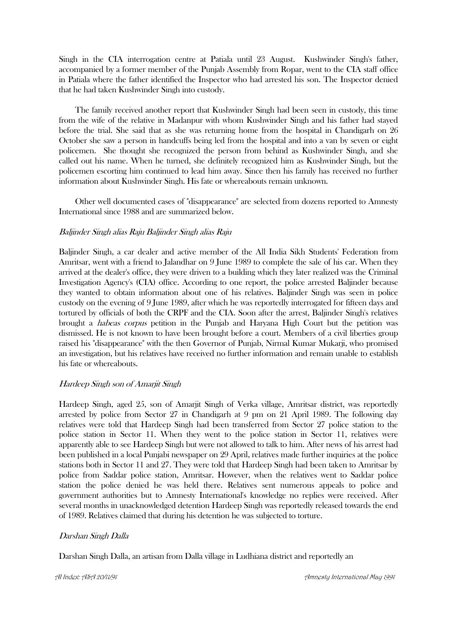Singh in the CIA interrogation centre at Patiala until 23 August. Kushwinder Singh's father, accompanied by a former member of the Punjab Assembly from Ropar, went to the CIA staff office in Patiala where the father identified the Inspector who had arrested his son. The Inspector denied that he had taken Kushwinder Singh into custody.

 The family received another report that Kushwinder Singh had been seen in custody, this time from the wife of the relative in Madanpur with whom Kushwinder Singh and his father had stayed before the trial. She said that as she was returning home from the hospital in Chandigarh on 26 October she saw a person in handcuffs being led from the hospital and into a van by seven or eight policemen. She thought she recognized the person from behind as Kushwinder Singh, and she called out his name. When he turned, she definitely recognized him as Kushwinder Singh, but the policemen escorting him continued to lead him away. Since then his family has received no further information about Kushwinder Singh. His fate or whereabouts remain unknown.

 Other well documented cases of "disappearance" are selected from dozens reported to Amnesty International since 1988 and are summarized below.

## Baljinder Singh alias Raju Baljinder Singh alias Raju

Baljinder Singh, a car dealer and active member of the All India Sikh Students' Federation from Amritsar, went with a friend to Jalandhar on 9 June 1989 to complete the sale of his car. When they arrived at the dealer's office, they were driven to a building which they later realized was the Criminal Investigation Agency's (CIA) office. According to one report, the police arrested Baljinder because they wanted to obtain information about one of his relatives. Baljinder Singh was seen in police custody on the evening of 9 June 1989, after which he was reportedly interrogated for fifteen days and tortured by officials of both the CRPF and the CIA. Soon after the arrest, Baljinder Singh's relatives brought a habeas corpus petition in the Punjab and Haryana High Court but the petition was dismissed. He is not known to have been brought before a court. Members of a civil liberties group raised his "disappearance" with the then Governor of Punjab, Nirmal Kumar Mukarji, who promised an investigation, but his relatives have received no further information and remain unable to establish his fate or whereabouts.

## Hardeep Singh son of Amarjit Singh

Hardeep Singh, aged 25, son of Amarjit Singh of Verka village, Amritsar district, was reportedly arrested by police from Sector 27 in Chandigarh at 9 pm on 21 April 1989. The following day relatives were told that Hardeep Singh had been transferred from Sector 27 police station to the police station in Sector 11. When they went to the police station in Sector 11, relatives were apparently able to see Hardeep Singh but were not allowed to talk to him. After news of his arrest had been published in a local Punjabi newspaper on 29 April, relatives made further inquiries at the police stations both in Sector 11 and 27. They were told that Hardeep Singh had been taken to Amritsar by police from Saddar police station, Amritsar. However, when the relatives went to Saddar police station the police denied he was held there. Relatives sent numerous appeals to police and government authorities but to Amnesty International's knowledge no replies were received. After several months in unacknowledged detention Hardeep Singh was reportedly released towards the end of 1989. Relatives claimed that during his detention he was subjected to torture.

## Darshan Singh Dalla

Darshan Singh Dalla, an artisan from Dalla village in Ludhiana district and reportedly an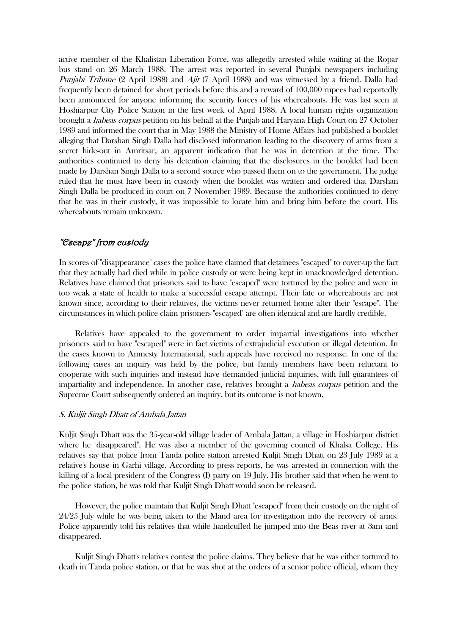active member of the Khalistan Liberation Force, was allegedly arrested while waiting at the Ropar bus stand on 26 March 1988. The arrest was reported in several Punjabi newspapers including Punjabi Tribune (2 April 1988) and Ajit (7 April 1988) and was witnessed by a friend. Dalla had frequently been detained for short periods before this and a reward of 100,000 rupees had reportedly been announced for anyone informing the security forces of his whereabouts. He was last seen at Hoshiarpur City Police Station in the first week of April 1988. A local human rights organization brought a habeas corpus petition on his behalf at the Punjab and Haryana High Court on 27 October 1989 and informed the court that in May 1988 the Ministry of Home Affairs had published a booklet alleging that Darshan Singh Dalla had disclosed information leading to the discovery of arms from a secret hide-out in Amritsar, an apparent indication that he was in detention at the time. The authorities continued to deny his detention claiming that the disclosures in the booklet had been made by Darshan Singh Dalla to a second source who passed them on to the government. The judge ruled that he must have been in custody when the booklet was written and ordered that Darshan Singh Dalla be produced in court on 7 November 1989. Because the authorities continued to deny that he was in their custody, it was impossible to locate him and bring him before the court. His whereabouts remain unknown.

## "Escape" from custody

In scores of "disappearance" cases the police have claimed that detainees "escaped" to cover-up the fact that they actually had died while in police custody or were being kept in unacknowledged detention. Relatives have claimed that prisoners said to have "escaped" were tortured by the police and were in too weak a state of health to make a successful escape attempt. Their fate or whereabouts are not known since, according to their relatives, the victims never returned home after their "escape". The circumstances in which police claim prisoners "escaped" are often identical and are hardly credible.

 Relatives have appealed to the government to order impartial investigations into whether prisoners said to have "escaped" were in fact victims of extrajudicial execution or illegal detention. In the cases known to Amnesty International, such appeals have received no response. In one of the following cases an inquiry was held by the police, but family members have been reluctant to cooperate with such inquiries and instead have demanded judicial inquiries, with full guarantees of impartiality and independence. In another case, relatives brought a habeas corpus petition and the Supreme Court subsequently ordered an inquiry, but its outcome is not known.

#### S. Kuljit Singh Dhatt of Ambala Jattan

Kuljit Singh Dhatt was the 35-year-old village leader of Ambala Jattan, a village in Hoshiarpur district where he "disappeared". He was also a member of the governing council of Khalsa College. His relatives say that police from Tanda police station arrested Kuljit Singh Dhatt on 23 July 1989 at a relative's house in Garhi village. According to press reports, he was arrested in connection with the killing of a local president of the Congress (I) party on 19 July. His brother said that when he went to the police station, he was told that Kuljit Singh Dhatt would soon be released.

 However, the police maintain that Kuljit Singh Dhatt "escaped" from their custody on the night of 24/25 July while he was being taken to the Mand area for investigation into the recovery of arms. Police apparently told his relatives that while handcuffed he jumped into the Beas river at 3am and disappeared.

 Kuljit Singh Dhatt's relatives contest the police claims. They believe that he was either tortured to death in Tanda police station, or that he was shot at the orders of a senior police official, whom they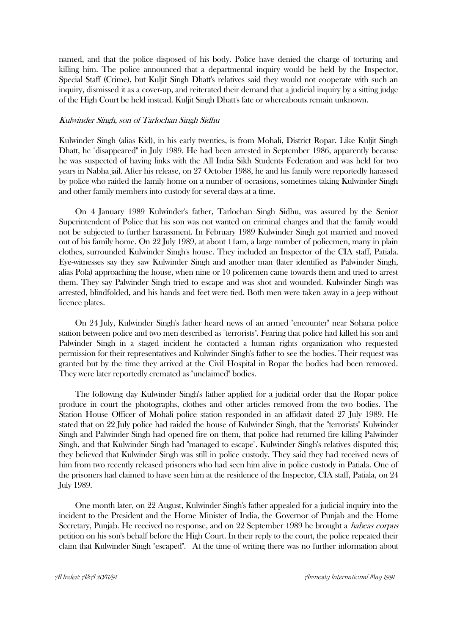named, and that the police disposed of his body. Police have denied the charge of torturing and killing him. The police announced that a departmental inquiry would be held by the Inspector, Special Staff (Crime), but Kuljit Singh Dhatt's relatives said they would not cooperate with such an inquiry, dismissed it as a cover-up, and reiterated their demand that a judicial inquiry by a sitting judge of the High Court be held instead. Kuljit Singh Dhatt's fate or whereabouts remain unknown.

#### Kulwinder Singh, son of Tarlochan Singh Sidhu

Kulwinder Singh (alias Kid), in his early twenties, is from Mohali, District Ropar. Like Kuljit Singh Dhatt, he "disappeared" in July 1989. He had been arrested in September 1986, apparently because he was suspected of having links with the All India Sikh Students Federation and was held for two years in Nabha jail. After his release, on 27 October 1988, he and his family were reportedly harassed by police who raided the family home on a number of occasions, sometimes taking Kulwinder Singh and other family members into custody for several days at a time.

 On 4 January 1989 Kulwinder's father, Tarlochan Singh Sidhu, was assured by the Senior Superintendent of Police that his son was not wanted on criminal charges and that the family would not be subjected to further harassment. In February 1989 Kulwinder Singh got married and moved out of his family home. On 22 July 1989, at about 11am, a large number of policemen, many in plain clothes, surrounded Kulwinder Singh's house. They included an Inspector of the CIA staff, Patiala. Eye-witnesses say they saw Kulwinder Singh and another man (later identified as Palwinder Singh, alias Pola) approaching the house, when nine or 10 policemen came towards them and tried to arrest them. They say Palwinder Singh tried to escape and was shot and wounded. Kulwinder Singh was arrested, blindfolded, and his hands and feet were tied. Both men were taken away in a jeep without licence plates.

 On 24 July, Kulwinder Singh's father heard news of an armed "encounter" near Sohana police station between police and two men described as "terrorists". Fearing that police had killed his son and Palwinder Singh in a staged incident he contacted a human rights organization who requested permission for their representatives and Kulwinder Singh's father to see the bodies. Their request was granted but by the time they arrived at the Civil Hospital in Ropar the bodies had been removed. They were later reportedly cremated as "unclaimed" bodies.

 The following day Kulwinder Singh's father applied for a judicial order that the Ropar police produce in court the photographs, clothes and other articles removed from the two bodies. The Station House Officer of Mohali police station responded in an affidavit dated 27 July 1989. He stated that on 22 July police had raided the house of Kulwinder Singh, that the "terrorists" Kulwinder Singh and Palwinder Singh had opened fire on them, that police had returned fire killing Palwinder Singh, and that Kulwinder Singh had "managed to escape". Kulwinder Singh's relatives disputed this; they believed that Kulwinder Singh was still in police custody. They said they had received news of him from two recently released prisoners who had seen him alive in police custody in Patiala. One of the prisoners had claimed to have seen him at the residence of the Inspector, CIA staff, Patiala, on 24 July 1989.

 One month later, on 22 August, Kulwinder Singh's father appealed for a judicial inquiry into the incident to the President and the Home Minister of India, the Governor of Punjab and the Home Secretary, Punjab. He received no response, and on 22 September 1989 he brought a habeas corpus petition on his son's behalf before the High Court. In their reply to the court, the police repeated their claim that Kulwinder Singh "escaped". At the time of writing there was no further information about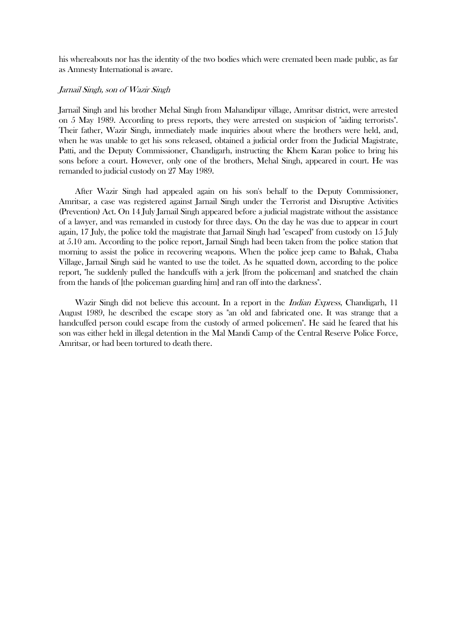his whereabouts nor has the identity of the two bodies which were cremated been made public, as far as Amnesty International is aware.

#### Jarnail Singh, son of Wazir Singh

Jarnail Singh and his brother Mehal Singh from Mahandipur village, Amritsar district, were arrested on 5 May 1989. According to press reports, they were arrested on suspicion of "aiding terrorists". Their father, Wazir Singh, immediately made inquiries about where the brothers were held, and, when he was unable to get his sons released, obtained a judicial order from the Judicial Magistrate, Patti, and the Deputy Commissioner, Chandigarh, instructing the Khem Karan police to bring his sons before a court. However, only one of the brothers, Mehal Singh, appeared in court. He was remanded to judicial custody on 27 May 1989.

 After Wazir Singh had appealed again on his son's behalf to the Deputy Commissioner, Amritsar, a case was registered against Jarnail Singh under the Terrorist and Disruptive Activities (Prevention) Act. On 14 July Jarnail Singh appeared before a judicial magistrate without the assistance of a lawyer, and was remanded in custody for three days. On the day he was due to appear in court again, 17 July, the police told the magistrate that Jarnail Singh had "escaped" from custody on 15 July at 5.10 am. According to the police report, Jarnail Singh had been taken from the police station that morning to assist the police in recovering weapons. When the police jeep came to Bahak, Chaba Village, Jarnail Singh said he wanted to use the toilet. As he squatted down, according to the police report, "he suddenly pulled the handcuffs with a jerk [from the policeman] and snatched the chain from the hands of [the policeman guarding him] and ran off into the darkness".

Wazir Singh did not believe this account. In a report in the *Indian Express*, Chandigarh, 11 August 1989, he described the escape story as "an old and fabricated one. It was strange that a handcuffed person could escape from the custody of armed policemen". He said he feared that his son was either held in illegal detention in the Mal Mandi Camp of the Central Reserve Police Force, Amritsar, or had been tortured to death there.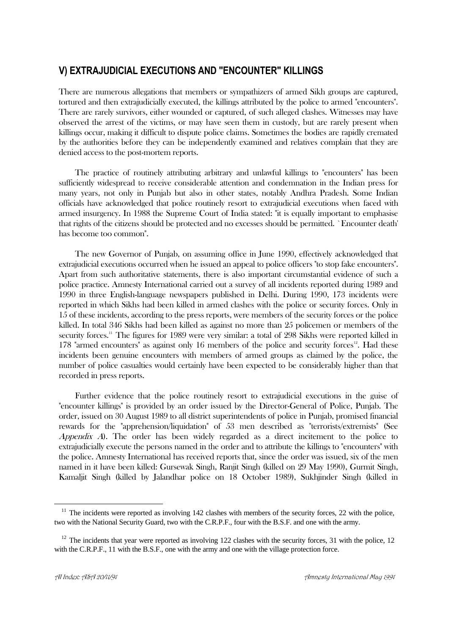# **V) EXTRAJUDICIAL EXECUTIONS AND "ENCOUNTER" KILLINGS**

There are numerous allegations that members or sympathizers of armed Sikh groups are captured, tortured and then extrajudicially executed, the killings attributed by the police to armed "encounters". There are rarely survivors, either wounded or captured, of such alleged clashes. Witnesses may have observed the arrest of the victims, or may have seen them in custody, but are rarely present when killings occur, making it difficult to dispute police claims. Sometimes the bodies are rapidly cremated by the authorities before they can be independently examined and relatives complain that they are denied access to the post-mortem reports.

 The practice of routinely attributing arbitrary and unlawful killings to "encounters" has been sufficiently widespread to receive considerable attention and condemnation in the Indian press for many years, not only in Punjab but also in other states, notably Andhra Pradesh. Some Indian officials have acknowledged that police routinely resort to extrajudicial executions when faced with armed insurgency. In 1988 the Supreme Court of India stated: "it is equally important to emphasise that rights of the citizens should be protected and no excesses should be permitted. `Encounter death' has become too common".

 The new Governor of Punjab, on assuming office in June 1990, effectively acknowledged that extrajudicial executions occurred when he issued an appeal to police officers "to stop fake encounters". Apart from such authoritative statements, there is also important circumstantial evidence of such a police practice. Amnesty International carried out a survey of all incidents reported during 1989 and 1990 in three English-language newspapers published in Delhi. During 1990, 173 incidents were reported in which Sikhs had been killed in armed clashes with the police or security forces. Only in 15 of these incidents, according to the press reports, were members of the security forces or the police killed. In total 346 Sikhs had been killed as against no more than 25 policemen or members of the security forces.<sup>11</sup> The figures for 1989 were very similar: a total of 298 Sikhs were reported killed in 178 "armed encounters" as against only 16 members of the police and security forces<sup>12</sup>. Had these incidents been genuine encounters with members of armed groups as claimed by the police, the number of police casualties would certainly have been expected to be considerably higher than that recorded in press reports.

 Further evidence that the police routinely resort to extrajudicial executions in the guise of "encounter killings" is provided by an order issued by the Director-General of Police, Punjab. The order, issued on 30 August 1989 to all district superintendents of police in Punjab, promised financial rewards for the "apprehension/liquidation" of 53 men described as "terrorists/extremists" (See Appendix A). The order has been widely regarded as a direct incitement to the police to extrajudicially execute the persons named in the order and to attribute the killings to "encounters" with the police. Amnesty International has received reports that, since the order was issued, six of the men named in it have been killed: Gursewak Singh, Ranjit Singh (killed on 29 May 1990), Gurmit Singh, Kamaljit Singh (killed by Jalandhar police on 18 October 1989), Sukhjinder Singh (killed in

 $11$  The incidents were reported as involving 142 clashes with members of the security forces, 22 with the police, two with the National Security Guard, two with the C.R.P.F., four with the B.S.F. and one with the army.

 $12$  The incidents that year were reported as involving 122 clashes with the security forces, 31 with the police, 12 with the C.R.P.F., 11 with the B.S.F., one with the army and one with the village protection force.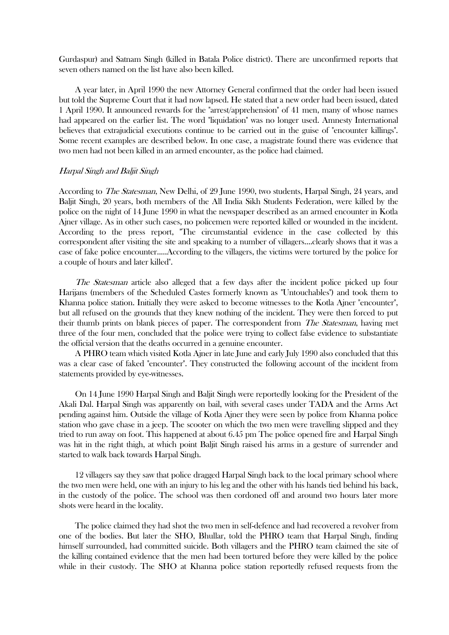Gurdaspur) and Satnam Singh (killed in Batala Police district). There are unconfirmed reports that seven others named on the list have also been killed.

 A year later, in April 1990 the new Attorney General confirmed that the order had been issued but told the Supreme Court that it had now lapsed. He stated that a new order had been issued, dated 1 April 1990. It announced rewards for the "arrest/apprehension" of 41 men, many of whose names had appeared on the earlier list. The word "liquidation" was no longer used. Amnesty International believes that extrajudicial executions continue to be carried out in the guise of "encounter killings". Some recent examples are described below. In one case, a magistrate found there was evidence that two men had not been killed in an armed encounter, as the police had claimed.

#### Harpal Singh and Baljit Singh

According to The Statesman, New Delhi, of 29 June 1990, two students, Harpal Singh, 24 years, and Baljit Singh, 20 years, both members of the All India Sikh Students Federation, were killed by the police on the night of 14 June 1990 in what the newspaper described as an armed encounter in Kotla Ajner village. As in other such cases, no policemen were reported killed or wounded in the incident. According to the press report, "The circumstantial evidence in the case collected by this correspondent after visiting the site and speaking to a number of villagers....clearly shows that it was a case of fake police encounter.....According to the villagers, the victims were tortured by the police for a couple of hours and later killed".

The Statesman article also alleged that a few days after the incident police picked up four Harijans (members of the Scheduled Castes formerly known as "Untouchables") and took them to Khanna police station. Initially they were asked to become witnesses to the Kotla Ajner "encounter", but all refused on the grounds that they knew nothing of the incident. They were then forced to put their thumb prints on blank pieces of paper. The correspondent from *The Statesman*, having met three of the four men, concluded that the police were trying to collect false evidence to substantiate the official version that the deaths occurred in a genuine encounter.

 A PHRO team which visited Kotla Ajner in late June and early July 1990 also concluded that this was a clear case of faked "encounter". They constructed the following account of the incident from statements provided by eye-witnesses.

 On 14 June 1990 Harpal Singh and Baljit Singh were reportedly looking for the President of the Akali Dal. Harpal Singh was apparently on bail, with several cases under TADA and the Arms Act pending against him. Outside the village of Kotla Ajner they were seen by police from Khanna police station who gave chase in a jeep. The scooter on which the two men were travelling slipped and they tried to run away on foot. This happened at about 6.45 pm The police opened fire and Harpal Singh was hit in the right thigh, at which point Baljit Singh raised his arms in a gesture of surrender and started to walk back towards Harpal Singh.

 12 villagers say they saw that police dragged Harpal Singh back to the local primary school where the two men were held, one with an injury to his leg and the other with his hands tied behind his back, in the custody of the police. The school was then cordoned off and around two hours later more shots were heard in the locality.

 The police claimed they had shot the two men in self-defence and had recovered a revolver from one of the bodies. But later the SHO, Bhullar, told the PHRO team that Harpal Singh, finding himself surrounded, had committed suicide. Both villagers and the PHRO team claimed the site of the killing contained evidence that the men had been tortured before they were killed by the police while in their custody. The SHO at Khanna police station reportedly refused requests from the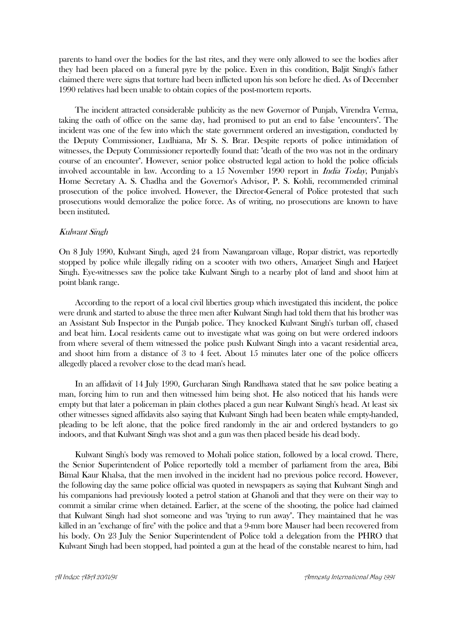parents to hand over the bodies for the last rites, and they were only allowed to see the bodies after they had been placed on a funeral pyre by the police. Even in this condition, Baljit Singh's father claimed there were signs that torture had been inflicted upon his son before he died. As of December 1990 relatives had been unable to obtain copies of the post-mortem reports.

 The incident attracted considerable publicity as the new Governor of Punjab, Virendra Verma, taking the oath of office on the same day, had promised to put an end to false "encounters". The incident was one of the few into which the state government ordered an investigation, conducted by the Deputy Commissioner, Ludhiana, Mr S. S. Brar. Despite reports of police intimidation of witnesses, the Deputy Commissioner reportedly found that: "death of the two was not in the ordinary course of an encounter". However, senior police obstructed legal action to hold the police officials involved accountable in law. According to a 15 November 1990 report in India Today, Punjab's Home Secretary A. S. Chadha and the Governor's Advisor, P. S. Kohli, recommended criminal prosecution of the police involved. However, the Director-General of Police protested that such prosecutions would demoralize the police force. As of writing, no prosecutions are known to have been instituted.

#### Kulwant Singh

On 8 July 1990, Kulwant Singh, aged 24 from Nawangaroan village, Ropar district, was reportedly stopped by police while illegally riding on a scooter with two others, Amarjeet Singh and Harjeet Singh. Eye-witnesses saw the police take Kulwant Singh to a nearby plot of land and shoot him at point blank range.

 According to the report of a local civil liberties group which investigated this incident, the police were drunk and started to abuse the three men after Kulwant Singh had told them that his brother was an Assistant Sub Inspector in the Punjab police. They knocked Kulwant Singh's turban off, chased and beat him. Local residents came out to investigate what was going on but were ordered indoors from where several of them witnessed the police push Kulwant Singh into a vacant residential area, and shoot him from a distance of 3 to 4 feet. About 15 minutes later one of the police officers allegedly placed a revolver close to the dead man's head.

 In an affidavit of 14 July 1990, Gurcharan Singh Randhawa stated that he saw police beating a man, forcing him to run and then witnessed him being shot. He also noticed that his hands were empty but that later a policeman in plain clothes placed a gun near Kulwant Singh's head. At least six other witnesses signed affidavits also saying that Kulwant Singh had been beaten while empty-handed, pleading to be left alone, that the police fired randomly in the air and ordered bystanders to go indoors, and that Kulwant Singh was shot and a gun was then placed beside his dead body.

 Kulwant Singh's body was removed to Mohali police station, followed by a local crowd. There, the Senior Superintendent of Police reportedly told a member of parliament from the area, Bibi Bimal Kaur Khalsa, that the men involved in the incident had no previous police record. However, the following day the same police official was quoted in newspapers as saying that Kulwant Singh and his companions had previously looted a petrol station at Ghanoli and that they were on their way to commit a similar crime when detained. Earlier, at the scene of the shooting, the police had claimed that Kulwant Singh had shot someone and was "trying to run away". They maintained that he was killed in an "exchange of fire" with the police and that a 9-mm bore Mauser had been recovered from his body. On 23 July the Senior Superintendent of Police told a delegation from the PHRO that Kulwant Singh had been stopped, had pointed a gun at the head of the constable nearest to him, had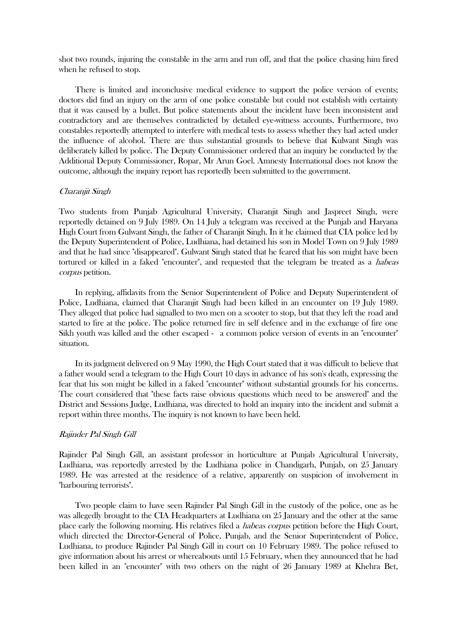shot two rounds, injuring the constable in the arm and run off, and that the police chasing him fired when he refused to stop.

 There is limited and inconclusive medical evidence to support the police version of events; doctors did find an injury on the arm of one police constable but could not establish with certainty that it was caused by a bullet. But police statements about the incident have been inconsistent and contradictory and are themselves contradicted by detailed eye-witness accounts. Furthermore, two constables reportedly attempted to interfere with medical tests to assess whether they had acted under the influence of alcohol. There are thus substantial grounds to believe that Kulwant Singh was deliberately killed by police. The Deputy Commissioner ordered that an inquiry be conducted by the Additional Deputy Commissioner, Ropar, Mr Arun Goel. Amnesty International does not know the outcome, although the inquiry report has reportedly been submitted to the government.

#### Charanjit Singh

Two students from Punjab Agricultural University, Charanjit Singh and Jaspreet Singh, were reportedly detained on 9 July 1989. On 14 July a telegram was received at the Punjab and Haryana High Court from Gulwant Singh, the father of Charanjit Singh. In it he claimed that CIA police led by the Deputy Superintendent of Police, Ludhiana, had detained his son in Model Town on 9 July 1989 and that he had since "disappeared". Gulwant Singh stated that he feared that his son might have been tortured or killed in a faked "encounter", and requested that the telegram be treated as a *habeas* corpus petition.

 In replying, affidavits from the Senior Superintendent of Police and Deputy Superintendent of Police, Ludhiana, claimed that Charanjit Singh had been killed in an encounter on 19 July 1989. They alleged that police had signalled to two men on a scooter to stop, but that they left the road and started to fire at the police. The police returned fire in self defence and in the exchange of fire one Sikh youth was killed and the other escaped - a common police version of events in an "encounter" situation.

 In its judgment delivered on 9 May 1990, the High Court stated that it was difficult to believe that a father would send a telegram to the High Court 10 days in advance of his son's death, expressing the fear that his son might be killed in a faked "encounter" without substantial grounds for his concerns. The court considered that "these facts raise obvious questions which need to be answered" and the District and Sessions Judge, Ludhiana, was directed to hold an inquiry into the incident and submit a report within three months. The inquiry is not known to have been held.

## Rajinder Pal Singh Gill

Rajinder Pal Singh Gill, an assistant professor in horticulture at Punjab Agricultural University, Ludhiana, was reportedly arrested by the Ludhiana police in Chandigarh, Punjab, on 25 January 1989. He was arrested at the residence of a relative, apparently on suspicion of involvement in "harbouring terrorists".

 Two people claim to have seen Rajinder Pal Singh Gill in the custody of the police, one as he was allegedly brought to the CIA Headquarters at Ludhiana on 25 January and the other at the same place early the following morning. His relatives filed a habeas corpus petition before the High Court, which directed the Director-General of Police, Punjab, and the Senior Superintendent of Police, Ludhiana, to produce Rajinder Pal Singh Gill in court on 10 February 1989. The police refused to give information about his arrest or whereabouts until 15 February, when they announced that he had been killed in an "encounter" with two others on the night of 26 January 1989 at Khehra Bet,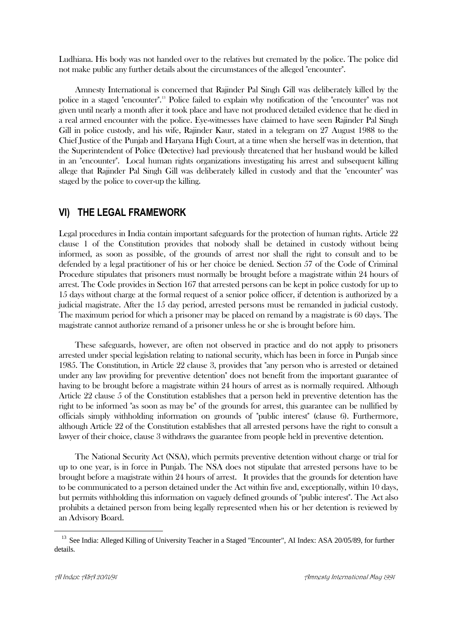Ludhiana. His body was not handed over to the relatives but cremated by the police. The police did not make public any further details about the circumstances of the alleged "encounter".

 Amnesty International is concerned that Rajinder Pal Singh Gill was deliberately killed by the police in a staged "encounter".<sup>13</sup> Police failed to explain why notification of the "encounter" was not given until nearly a month after it took place and have not produced detailed evidence that he died in a real armed encounter with the police. Eye-witnesses have claimed to have seen Rajinder Pal Singh Gill in police custody, and his wife, Rajinder Kaur, stated in a telegram on 27 August 1988 to the Chief Justice of the Punjab and Haryana High Court, at a time when she herself was in detention, that the Superintendent of Police (Detective) had previously threatened that her husband would be killed in an "encounter". Local human rights organizations investigating his arrest and subsequent killing allege that Rajinder Pal Singh Gill was deliberately killed in custody and that the "encounter" was staged by the police to cover-up the killing.

# **VI) THE LEGAL FRAMEWORK**

Legal procedures in India contain important safeguards for the protection of human rights. Article 22 clause 1 of the Constitution provides that nobody shall be detained in custody without being informed, as soon as possible, of the grounds of arrest nor shall the right to consult and to be defended by a legal practitioner of his or her choice be denied. Section 57 of the Code of Criminal Procedure stipulates that prisoners must normally be brought before a magistrate within 24 hours of arrest. The Code provides in Section 167 that arrested persons can be kept in police custody for up to 15 days without charge at the formal request of a senior police officer, if detention is authorized by a judicial magistrate. After the 15 day period, arrested persons must be remanded in judicial custody. The maximum period for which a prisoner may be placed on remand by a magistrate is 60 days. The magistrate cannot authorize remand of a prisoner unless he or she is brought before him.

 These safeguards, however, are often not observed in practice and do not apply to prisoners arrested under special legislation relating to national security, which has been in force in Punjab since 1985. The Constitution, in Article 22 clause 3, provides that "any person who is arrested or detained under any law providing for preventive detention" does not benefit from the important guarantee of having to be brought before a magistrate within 24 hours of arrest as is normally required. Although Article 22 clause 5 of the Constitution establishes that a person held in preventive detention has the right to be informed "as soon as may be" of the grounds for arrest, this guarantee can be nullified by officials simply withholding information on grounds of "public interest" (clause 6). Furthermore, although Article 22 of the Constitution establishes that all arrested persons have the right to consult a lawyer of their choice, clause 3 withdraws the guarantee from people held in preventive detention.

 The National Security Act (NSA), which permits preventive detention without charge or trial for up to one year, is in force in Punjab. The NSA does not stipulate that arrested persons have to be brought before a magistrate within 24 hours of arrest. It provides that the grounds for detention have to be communicated to a person detained under the Act within five and, exceptionally, within 10 days, but permits withholding this information on vaguely defined grounds of "public interest". The Act also prohibits a detained person from being legally represented when his or her detention is reviewed by an Advisory Board.

<sup>&</sup>lt;sup>13</sup> See India: Alleged Killing of University Teacher in a Staged "Encounter", AI Index: ASA 20/05/89, for further details.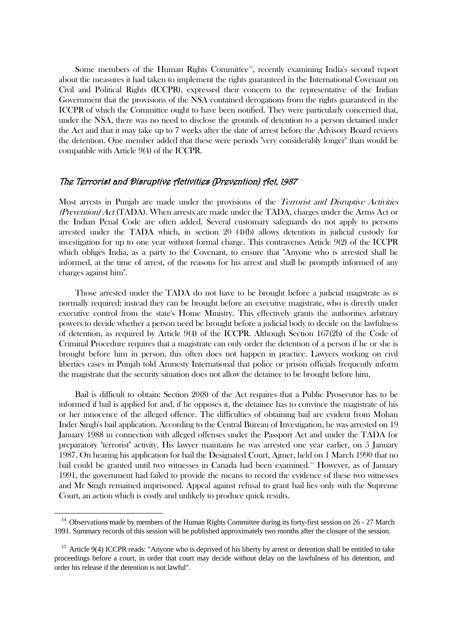Some members of the Human Rights Committee $14$ , recently examining India's second report about the measures it had taken to implement the rights guaranteed in the International Covenant on Civil and Political Rights (ICCPR), expressed their concern to the representative of the Indian Government that the provisions of the NSA contained derogations from the rights guaranteed in the ICCPR of which the Committee ought to have been notified. They were particularly concerned that, under the NSA, there was no need to disclose the grounds of detention to a person detained under the Act and that it may take up to 7 weeks after the date of arrest before the Advisory Board reviews the detention. One member added that these were periods "very considerably longer" than would be compatible with Article 9(4) of the ICCPR.

## The Terrorist and Disruptive Activities (Prevention) Act, 1987

Most arrests in Punjab are made under the provisions of the Terrorist and Disruptive Activities (Prevention) Act (TADA). When arrests are made under the TADA, charges under the Arms Act or the Indian Penal Code are often added. Several customary safeguards do not apply to persons arrested under the TADA which, in section 20 (4)(b) allows detention in judicial custody for investigation for up to one year without formal charge. This contravenes Article 9(2) of the ICCPR which obliges India, as a party to the Covenant, to ensure that "Anyone who is arrested shall be informed, at the time of arrest, of the reasons for his arrest and shall be promptly informed of any charges against him".

 Those arrested under the TADA do not have to be brought before a judicial magistrate as is normally required; instead they can be brought before an executive magistrate, who is directly under executive control from the state's Home Ministry. This effectively grants the authorities arbitrary powers to decide whether a person need be brought before a judicial body to decide on the lawfulness of detention, as required by Article 9(4) of the ICCPR. Although Section 167(2b) of the Code of Criminal Procedure requires that a magistrate can only order the detention of a person if he or she is brought before him in person, this often does not happen in practice. Lawyers working on civil liberties cases in Punjab told Amnesty International that police or prison officials frequently inform the magistrate that the security situation does not allow the detainee to be brought before him.

 Bail is difficult to obtain: Section 20(8) of the Act requires that a Public Prosecutor has to be informed if bail is applied for and, if he opposes it, the detainee has to convince the magistrate of his or her innocence of the alleged offence. The difficulties of obtaining bail are evident from Mohan Inder Singh's bail application. According to the Central Bureau of Investigation, he was arrested on 19 January 1988 in connection with alleged offenses under the Passport Act and under the TADA for preparatory "terrorist" activity. His lawyer maintains he was arrested one year earlier, on 5 January 1987. On hearing his application for bail the Designated Court, Ajmer, held on 1 March 1990 that no bail could be granted until two witnesses in Canada had been examined.<sup>15</sup> However, as of January 1991, the government had failed to provide the means to record the evidence of these two witnesses and Mr Singh remained imprisoned. Appeal against refusal to grant bail lies only with the Supreme Court, an action which is costly and unlikely to produce quick results.

<sup>&</sup>lt;sup>14</sup> Observations made by members of the Human Rights Committee during its forty-first session on 26 - 27 March 1991. Summary records of this session will be published approximately two months after the closure of the session.

<sup>&</sup>lt;sup>15</sup> Article 9(4) ICCPR reads: "Anyone who is deprived of his liberty by arrest or detention shall be entitled to take proceedings before a court, in order that court may decide without delay on the lawfulness of his detention, and order his release if the detention is not lawful".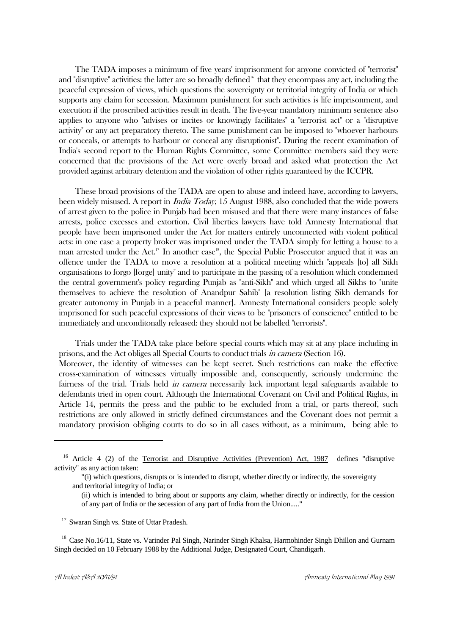The TADA imposes a minimum of five years' imprisonment for anyone convicted of "terrorist" and "disruptive" activities: the latter are so broadly defined<sup>16</sup> that they encompass any act, including the peaceful expression of views, which questions the sovereignty or territorial integrity of India or which supports any claim for secession. Maximum punishment for such activities is life imprisonment, and execution if the proscribed activities result in death. The five-year mandatory minimum sentence also applies to anyone who "advises or incites or knowingly facilitates" a "terrorist act" or a "disruptive activity" or any act preparatory thereto. The same punishment can be imposed to "whoever harbours or conceals, or attempts to harbour or conceal any disruptionist". During the recent examination of India's second report to the Human Rights Committee, some Committee members said they were concerned that the provisions of the Act were overly broad and asked what protection the Act provided against arbitrary detention and the violation of other rights guaranteed by the ICCPR.

 These broad provisions of the TADA are open to abuse and indeed have, according to lawyers, been widely misused. A report in *India Today*, 15 August 1988, also concluded that the wide powers of arrest given to the police in Punjab had been misused and that there were many instances of false arrests, police excesses and extortion. Civil liberties lawyers have told Amnesty International that people have been imprisoned under the Act for matters entirely unconnected with violent political acts: in one case a property broker was imprisoned under the TADA simply for letting a house to a man arrested under the Act.<sup>17</sup> In another case<sup>18</sup>, the Special Public Prosecutor argued that it was an offence under the TADA to move a resolution at a political meeting which "appeals [to] all Sikh organisations to forgo [forge] unity" and to participate in the passing of a resolution which condemned the central government's policy regarding Punjab as "anti-Sikh" and which urged all Sikhs to "unite themselves to achieve the resolution of Anandpur Sahib" [a resolution listing Sikh demands for greater autonomy in Punjab in a peaceful manner]. Amnesty International considers people solely imprisoned for such peaceful expressions of their views to be "prisoners of conscience" entitled to be immediately and unconditonally released: they should not be labelled "terrorists".

 Trials under the TADA take place before special courts which may sit at any place including in prisons, and the Act obliges all Special Courts to conduct trials in camera (Section 16).

Moreover, the identity of witnesses can be kept secret. Such restrictions can make the effective cross-examination of witnesses virtually impossible and, consequently, seriously undermine the fairness of the trial. Trials held *in camera* necessarily lack important legal safeguards available to defendants tried in open court. Although the International Covenant on Civil and Political Rights, in Article 14, permits the press and the public to be excluded from a trial, or parts thereof, such restrictions are only allowed in strictly defined circumstances and the Covenant does not permit a mandatory provision obliging courts to do so in all cases without, as a minimum, being able to

<sup>18</sup> Case No.16/11, State vs. Varinder Pal Singh, Narinder Singh Khalsa, Harmohinder Singh Dhillon and Gurnam Singh decided on 10 February 1988 by the Additional Judge, Designated Court, Chandigarh.

<sup>&</sup>lt;sup>16</sup> Article 4 (2) of the Terrorist and Disruptive Activities (Prevention) Act, 1987 defines "disruptive activity" as any action taken:

<sup>&</sup>quot;(i) which questions, disrupts or is intended to disrupt, whether directly or indirectly, the sovereignty and territorial integrity of India; or

<sup>(</sup>ii) which is intended to bring about or supports any claim, whether directly or indirectly, for the cession of any part of India or the secession of any part of India from the Union....."

<sup>&</sup>lt;sup>17</sup> Swaran Singh vs. State of Uttar Pradesh.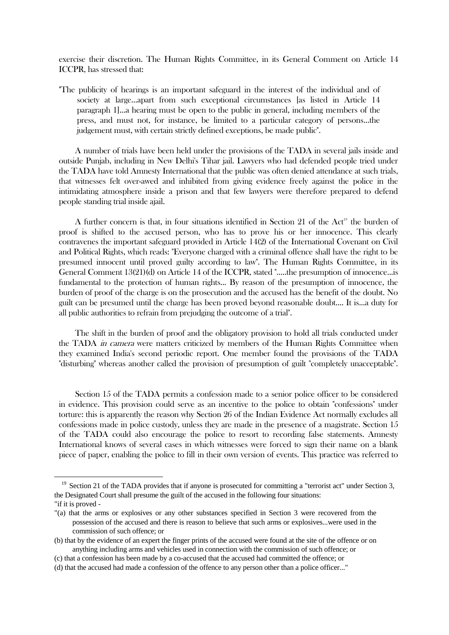exercise their discretion. The Human Rights Committee, in its General Comment on Article 14 ICCPR, has stressed that:

"The publicity of hearings is an important safeguard in the interest of the individual and of society at large...apart from such exceptional circumstances [as listed in Article 14 paragraph 1]...a hearing must be open to the public in general, including members of the press, and must not, for instance, be limited to a particular category of persons...the judgement must, with certain strictly defined exceptions, be made public".

 A number of trials have been held under the provisions of the TADA in several jails inside and outside Punjab, including in New Delhi's Tihar jail. Lawyers who had defended people tried under the TADA have told Amnesty International that the public was often denied attendance at such trials, that witnesses felt over-awed and inhibited from giving evidence freely against the police in the intimidating atmosphere inside a prison and that few lawyers were therefore prepared to defend people standing trial inside ajail.

A further concern is that, in four situations identified in Section 21 of the Act<sup>19</sup> the burden of proof is shifted to the accused person, who has to prove his or her innocence. This clearly contravenes the important safeguard provided in Article 14(2) of the International Covenant on Civil and Political Rights, which reads: "Everyone charged with a criminal offence shall have the right to be presumed innocent until proved guilty according to law". The Human Rights Committee, in its General Comment 13(21)(d) on Article 14 of the ICCPR, stated ".....the presumption of innocence...is fundamental to the protection of human rights... By reason of the presumption of innocence, the burden of proof of the charge is on the prosecution and the accused has the benefit of the doubt. No guilt can be presumed until the charge has been proved beyond reasonable doubt.... It is...a duty for all public authorities to refrain from prejudging the outcome of a trial".

 The shift in the burden of proof and the obligatory provision to hold all trials conducted under the TADA *in camera* were matters criticized by members of the Human Rights Committee when they examined India's second periodic report. One member found the provisions of the TADA "disturbing" whereas another called the provision of presumption of guilt "completely unacceptable".

 Section 15 of the TADA permits a confession made to a senior police officer to be considered in evidence. This provision could serve as an incentive to the police to obtain "confessions" under torture: this is apparently the reason why Section 26 of the Indian Evidence Act normally excludes all confessions made in police custody, unless they are made in the presence of a magistrate. Section 15 of the TADA could also encourage the police to resort to recording false statements. Amnesty International knows of several cases in which witnesses were forced to sign their name on a blank piece of paper, enabling the police to fill in their own version of events. This practice was referred to

 $19$  Section 21 of the TADA provides that if anyone is prosecuted for committing a "terrorist act" under Section 3, the Designated Court shall presume the guilt of the accused in the following four situations: "if it is proved -

<sup>&</sup>quot;(a) that the arms or explosives or any other substances specified in Section 3 were recovered from the

possession of the accused and there is reason to believe that such arms or explosives...were used in the commission of such offence; or

<sup>(</sup>b) that by the evidence of an expert the finger prints of the accused were found at the site of the offence or on anything including arms and vehicles used in connection with the commission of such offence; or

<sup>(</sup>c) that a confession has been made by a co-accused that the accused had committed the offence; or

<sup>(</sup>d) that the accused had made a confession of the offence to any person other than a police officer..."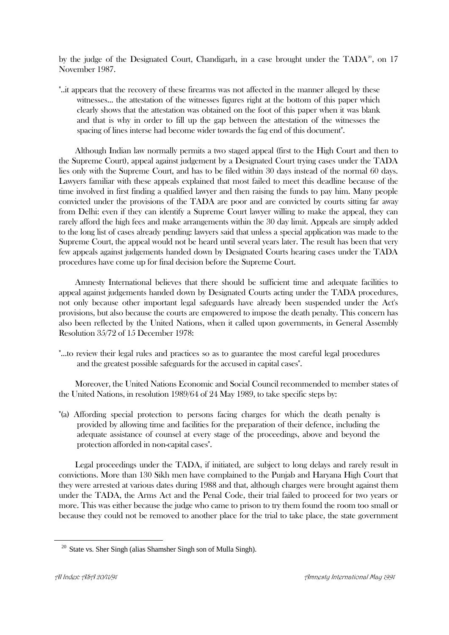by the judge of the Designated Court, Chandigarh, in a case brought under the  $TADA^{20}$ , on 17 November 1987.

"..it appears that the recovery of these firearms was not affected in the manner alleged by these witnesses... the attestation of the witnesses figures right at the bottom of this paper which clearly shows that the attestation was obtained on the foot of this paper when it was blank and that is why in order to fill up the gap between the attestation of the witnesses the spacing of lines interse had become wider towards the fag end of this document".

 Although Indian law normally permits a two staged appeal (first to the High Court and then to the Supreme Court), appeal against judgement by a Designated Court trying cases under the TADA lies only with the Supreme Court, and has to be filed within 30 days instead of the normal 60 days. Lawyers familiar with these appeals explained that most failed to meet this deadline because of the time involved in first finding a qualified lawyer and then raising the funds to pay him. Many people convicted under the provisions of the TADA are poor and are convicted by courts sitting far away from Delhi: even if they can identify a Supreme Court lawyer willing to make the appeal, they can rarely afford the high fees and make arrangements within the 30 day limit. Appeals are simply added to the long list of cases already pending: lawyers said that unless a special application was made to the Supreme Court, the appeal would not be heard until several years later. The result has been that very few appeals against judgements handed down by Designated Courts hearing cases under the TADA procedures have come up for final decision before the Supreme Court.

 Amnesty International believes that there should be sufficient time and adequate facilities to appeal against judgements handed down by Designated Courts acting under the TADA procedures, not only because other important legal safeguards have already been suspended under the Act's provisions, but also because the courts are empowered to impose the death penalty. This concern has also been reflected by the United Nations, when it called upon governments, in General Assembly Resolution 35/72 of 15 December 1978:

"...to review their legal rules and practices so as to guarantee the most careful legal procedures and the greatest possible safeguards for the accused in capital cases".

 Moreover, the United Nations Economic and Social Council recommended to member states of the United Nations, in resolution 1989/64 of 24 May 1989, to take specific steps by:

"(a) Affording special protection to persons facing charges for which the death penalty is provided by allowing time and facilities for the preparation of their defence, including the adequate assistance of counsel at every stage of the proceedings, above and beyond the protection afforded in non-capital cases".

 Legal proceedings under the TADA, if initiated, are subject to long delays and rarely result in convictions. More than 130 Sikh men have complained to the Punjab and Haryana High Court that they were arrested at various dates during 1988 and that, although charges were brought against them under the TADA, the Arms Act and the Penal Code, their trial failed to proceed for two years or more. This was either because the judge who came to prison to try them found the room too small or because they could not be removed to another place for the trial to take place, the state government

<sup>&</sup>lt;sup>20</sup> State vs. Sher Singh (alias Shamsher Singh son of Mulla Singh).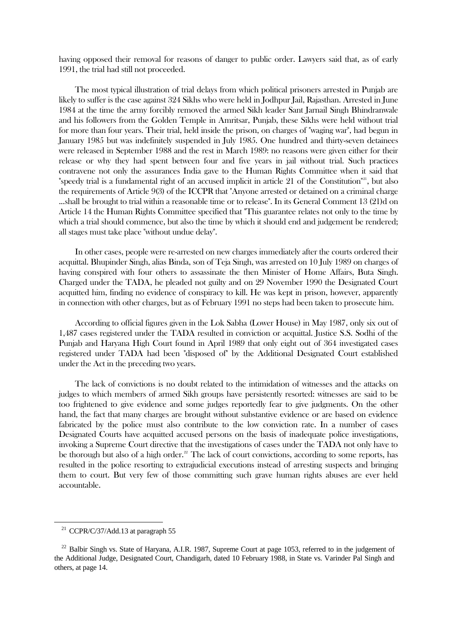having opposed their removal for reasons of danger to public order. Lawyers said that, as of early 1991, the trial had still not proceeded.

 The most typical illustration of trial delays from which political prisoners arrested in Punjab are likely to suffer is the case against 324 Sikhs who were held in Jodhpur Jail, Rajasthan. Arrested in June 1984 at the time the army forcibly removed the armed Sikh leader Sant Jarnail Singh Bhindranwale and his followers from the Golden Temple in Amritsar, Punjab, these Sikhs were held without trial for more than four years. Their trial, held inside the prison, on charges of "waging war", had begun in January 1985 but was indefinitely suspended in July 1985. One hundred and thirty-seven detainees were released in September 1988 and the rest in March 1989: no reasons were given either for their release or why they had spent between four and five years in jail without trial. Such practices contravene not only the assurances India gave to the Human Rights Committee when it said that "speedy trial is a fundamental right of an accused implicit in article 21 of the Constitution"<sup>21</sup>, but also the requirements of Article 9(3) of the ICCPR that "Anyone arrested or detained on a criminal charge ...shall be brought to trial within a reasonable time or to release". In its General Comment 13 (21)d on Article 14 the Human Rights Committee specified that "This guarantee relates not only to the time by which a trial should commence, but also the time by which it should end and judgement be rendered; all stages must take place "without undue delay".

 In other cases, people were re-arrested on new charges immediately after the courts ordered their acquittal. Bhupinder Singh, alias Binda, son of Teja Singh, was arrested on 10 July 1989 on charges of having conspired with four others to assassinate the then Minister of Home Affairs, Buta Singh. Charged under the TADA, he pleaded not guilty and on 29 November 1990 the Designated Court acquitted him, finding no evidence of conspiracy to kill. He was kept in prison, however, apparently in connection with other charges, but as of February 1991 no steps had been taken to prosecute him.

 According to official figures given in the Lok Sabha (Lower House) in May 1987, only six out of 1,487 cases registered under the TADA resulted in conviction or acquittal. Justice S.S. Sodhi of the Punjab and Haryana High Court found in April 1989 that only eight out of 364 investigated cases registered under TADA had been "disposed of" by the Additional Designated Court established under the Act in the preceding two years.

 The lack of convictions is no doubt related to the intimidation of witnesses and the attacks on judges to which members of armed Sikh groups have persistently resorted: witnesses are said to be too frightened to give evidence and some judges reportedly fear to give judgments. On the other hand, the fact that many charges are brought without substantive evidence or are based on evidence fabricated by the police must also contribute to the low conviction rate. In a number of cases Designated Courts have acquitted accused persons on the basis of inadequate police investigations, invoking a Supreme Court directive that the investigations of cases under the TADA not only have to be thorough but also of a high order.<sup>22</sup> The lack of court convictions, according to some reports, has resulted in the police resorting to extrajudicial executions instead of arresting suspects and bringing them to court. But very few of those committing such grave human rights abuses are ever held accountable.

<sup>&</sup>lt;sup>21</sup> CCPR/C/37/Add.13 at paragraph 55

<sup>&</sup>lt;sup>22</sup> Balbir Singh vs. State of Haryana, A.I.R. 1987, Supreme Court at page 1053, referred to in the judgement of the Additional Judge, Designated Court, Chandigarh, dated 10 February 1988, in State vs. Varinder Pal Singh and others, at page 14.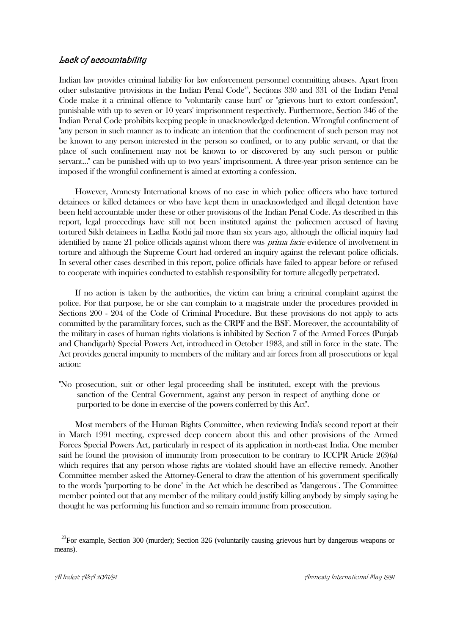# Lack of accountability

Indian law provides criminal liability for law enforcement personnel committing abuses. Apart from other substantive provisions in the Indian Penal Code<sup>23</sup>, Sections 330 and 331 of the Indian Penal Code make it a criminal offence to "voluntarily cause hurt" or "grievous hurt to extort confession", punishable with up to seven or 10 years' imprisonment respectively. Furthermore, Section 346 of the Indian Penal Code prohibits keeping people in unacknowledged detention. Wrongful confinement of "any person in such manner as to indicate an intention that the confinement of such person may not be known to any person interested in the person so confined, or to any public servant, or that the place of such confinement may not be known to or discovered by any such person or public servant..." can be punished with up to two years' imprisonment. A three-year prison sentence can be imposed if the wrongful confinement is aimed at extorting a confession.

 However, Amnesty International knows of no case in which police officers who have tortured detainees or killed detainees or who have kept them in unacknowledged and illegal detention have been held accountable under these or other provisions of the Indian Penal Code. As described in this report, legal proceedings have still not been instituted against the policemen accused of having tortured Sikh detainees in Ladha Kothi jail more than six years ago, although the official inquiry had identified by name 21 police officials against whom there was *prima facie* evidence of involvement in torture and although the Supreme Court had ordered an inquiry against the relevant police officials. In several other cases described in this report, police officials have failed to appear before or refused to cooperate with inquiries conducted to establish responsibility for torture allegedly perpetrated.

 If no action is taken by the authorities, the victim can bring a criminal complaint against the police. For that purpose, he or she can complain to a magistrate under the procedures provided in Sections 200 - 204 of the Code of Criminal Procedure. But these provisions do not apply to acts committed by the paramilitary forces, such as the CRPF and the BSF. Moreover, the accountability of the military in cases of human rights violations is inhibited by Section 7 of the Armed Forces (Punjab and Chandigarh) Special Powers Act, introduced in October 1983, and still in force in the state. The Act provides general impunity to members of the military and air forces from all prosecutions or legal action:

"No prosecution, suit or other legal proceeding shall be instituted, except with the previous sanction of the Central Government, against any person in respect of anything done or purported to be done in exercise of the powers conferred by this Act".

 Most members of the Human Rights Committee, when reviewing India's second report at their in March 1991 meeting, expressed deep concern about this and other provisions of the Armed Forces Special Powers Act, particularly in respect of its application in north-east India. One member said he found the provision of immunity from prosecution to be contrary to ICCPR Article 2(3)(a) which requires that any person whose rights are violated should have an effective remedy. Another Committee member asked the Attorney-General to draw the attention of his government specifically to the words "purporting to be done" in the Act which he described as "dangerous". The Committee member pointed out that any member of the military could justify killing anybody by simply saying he thought he was performing his function and so remain immune from prosecution.

 $^{23}$ For example, Section 300 (murder); Section 326 (voluntarily causing grievous hurt by dangerous weapons or means).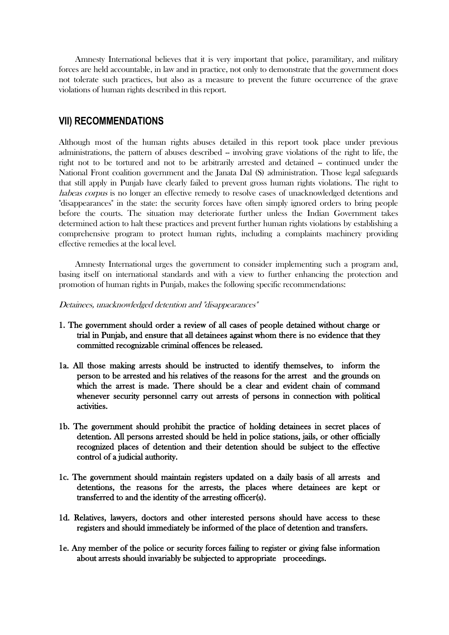Amnesty International believes that it is very important that police, paramilitary, and military forces are held accountable, in law and in practice, not only to demonstrate that the government does not tolerate such practices, but also as a measure to prevent the future occurrence of the grave violations of human rights described in this report.

## **VII) RECOMMENDATIONS**

Although most of the human rights abuses detailed in this report took place under previous administrations, the pattern of abuses described – involving grave violations of the right to life, the right not to be tortured and not to be arbitrarily arrested and detained -- continued under the National Front coalition government and the Janata Dal (S) administration. Those legal safeguards that still apply in Punjab have clearly failed to prevent gross human rights violations. The right to habeas corpus is no longer an effective remedy to resolve cases of unacknowledged detentions and "disappearances" in the state: the security forces have often simply ignored orders to bring people before the courts. The situation may deteriorate further unless the Indian Government takes determined action to halt these practices and prevent further human rights violations by establishing a comprehensive program to protect human rights, including a complaints machinery providing effective remedies at the local level.

 Amnesty International urges the government to consider implementing such a program and, basing itself on international standards and with a view to further enhancing the protection and promotion of human rights in Punjab, makes the following specific recommendations:

- Detainees, unacknowledged detention and "disappearances"
- 1. The government should order a review of all cases of people detained without charge or trial in Punjab, and ensure that all detainees against whom there is no evidence that they committed recognizable criminal offences be released.
- 1a. All those making arrests should be instructed to identify themselves, to inform the person to be arrested and his relatives of the reasons for the arrest and the grounds on which the arrest is made. There should be a clear and evident chain of command whenever security personnel carry out arrests of persons in connection with political activities.
- 1b. The government should prohibit the practice of holding detainees in secret places of detention. All persons arrested should be held in police stations, jails, or other officially recognized places of detention and their detention should be subject to the effective control of a judicial authority.
- 1c. The government should maintain registers updated on a daily basis of all arrests and detentions, the reasons for the arrests, the places where detainees are kept or transferred to and the identity of the arresting officer(s).
- 1d. Relatives, lawyers, doctors and other interested persons should have access to these registers and should immediately be informed of the place of detention and transfers.
- 1e. Any member of the police or security forces failing to register or giving false information about arrests should invariably be subjected to appropriate proceedings.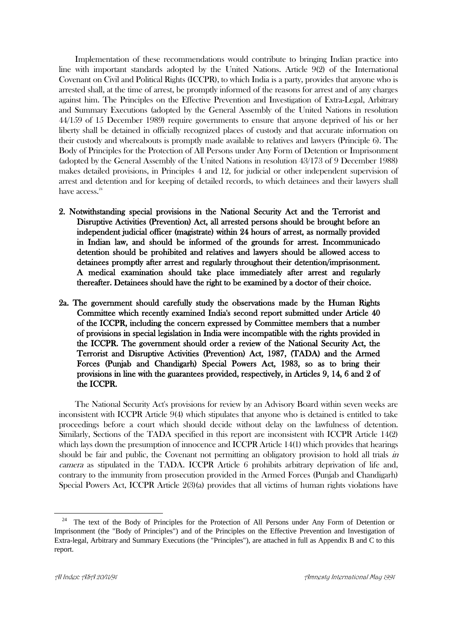Implementation of these recommendations would contribute to bringing Indian practice into line with important standards adopted by the United Nations. Article 9(2) of the International Covenant on Civil and Political Rights (ICCPR), to which India is a party, provides that anyone who is arrested shall, at the time of arrest, be promptly informed of the reasons for arrest and of any charges against him. The Principles on the Effective Prevention and Investigation of Extra-Legal, Arbitrary and Summary Executions (adopted by the General Assembly of the United Nations in resolution 44/159 of 15 December 1989) require governments to ensure that anyone deprived of his or her liberty shall be detained in officially recognized places of custody and that accurate information on their custody and whereabouts is promptly made available to relatives and lawyers (Principle 6). The Body of Principles for the Protection of All Persons under Any Form of Detention or Imprisonment (adopted by the General Assembly of the United Nations in resolution 43/173 of 9 December 1988) makes detailed provisions, in Principles 4 and 12, for judicial or other independent supervision of arrest and detention and for keeping of detailed records, to which detainees and their lawyers shall have access.<sup>24</sup>

- 2. Notwithstanding special provisions in the National Security Act and the Terrorist and Disruptive Activities (Prevention) Act, all arrested persons should be brought before an independent judicial officer (magistrate) within 24 hours of arrest, as normally provided in Indian law, and should be informed of the grounds for arrest. Incommunicado detention should be prohibited and relatives and lawyers should be allowed access to detainees promptly after arrest and regularly throughout their detention/imprisonment. A medical examination should take place immediately after arrest and regularly thereafter. Detainees should have the right to be examined by a doctor of their choice.
- 2a. The government should carefully study the observations made by the Human Rights Committee which recently examined India's second report submitted under Article 40 of the ICCPR, including the concern expressed by Committee members that a number of provisions in special legislation in India were incompatible with the rights provided in the ICCPR. The government should order a review of the National Security Act, the Terrorist and Disruptive Activities (Prevention) Act, 1987, (TADA) and the Armed Forces (Punjab and Chandigarh) Special Powers Act, 1983, so as to bring their provisions in line with the guarantees provided, respectively, in Articles 9, 14, 6 and 2 of the ICCPR.

 The National Security Act's provisions for review by an Advisory Board within seven weeks are inconsistent with ICCPR Article 9(4) which stipulates that anyone who is detained is entitled to take proceedings before a court which should decide without delay on the lawfulness of detention. Similarly, Sections of the TADA specified in this report are inconsistent with ICCPR Article 14(2) which lays down the presumption of innocence and ICCPR Article 14(1) which provides that hearings should be fair and public, the Covenant not permitting an obligatory provision to hold all trials in camera as stipulated in the TADA. ICCPR Article 6 prohibits arbitrary deprivation of life and, contrary to the immunity from prosecution provided in the Armed Forces (Punjab and Chandigarh) Special Powers Act, ICCPR Article 2(3)(a) provides that all victims of human rights violations have

<sup>&</sup>lt;sup>24</sup> The text of the Body of Principles for the Protection of All Persons under Any Form of Detention or Imprisonment (the "Body of Principles") and of the Principles on the Effective Prevention and Investigation of Extra-legal, Arbitrary and Summary Executions (the "Principles"), are attached in full as Appendix B and C to this report.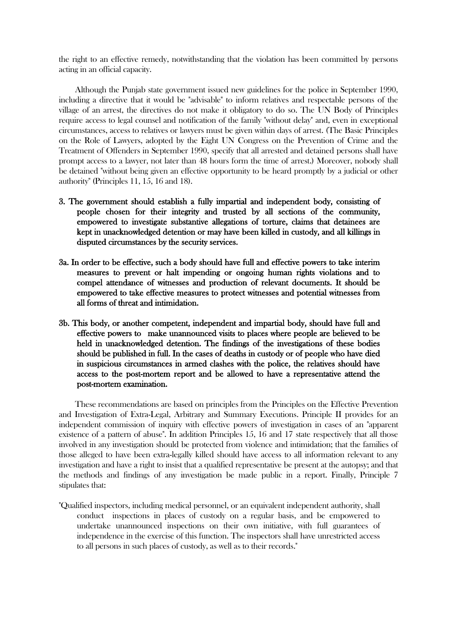the right to an effective remedy, notwithstanding that the violation has been committed by persons acting in an official capacity.

 Although the Punjab state government issued new guidelines for the police in September 1990, including a directive that it would be "advisable" to inform relatives and respectable persons of the village of an arrest, the directives do not make it obligatory to do so. The UN Body of Principles require access to legal counsel and notification of the family "without delay" and, even in exceptional circumstances, access to relatives or lawyers must be given within days of arrest. (The Basic Principles on the Role of Lawyers, adopted by the Eight UN Congress on the Prevention of Crime and the Treatment of Offenders in September 1990, specify that all arrested and detained persons shall have prompt access to a lawyer, not later than 48 hours form the time of arrest.) Moreover, nobody shall be detained "without being given an effective opportunity to be heard promptly by a judicial or other authority" (Principles 11, 15, 16 and 18).

- 3. The government should establish a fully impartial and independent body, consisting of people chosen for their integrity and trusted by all sections of the community, empowered to investigate substantive allegations of torture, claims that detainees are kept in unacknowledged detention or may have been killed in custody, and all killings in disputed circumstances by the security services.
- 3a. In order to be effective, such a body should have full and effective powers to take interim measures to prevent or halt impending or ongoing human rights violations and to compel attendance of witnesses and production of relevant documents. It should be empowered to take effective measures to protect witnesses and potential witnesses from all forms of threat and intimidation.
- 3b. This body, or another competent, independent and impartial body, should have full and effective powers to make unannounced visits to places where people are believed to be held in unacknowledged detention. The findings of the investigations of these bodies should be published in full. In the cases of deaths in custody or of people who have died in suspicious circumstances in armed clashes with the police, the relatives should have access to the post-mortem report and be allowed to have a representative attend the post-mortem examination.

 These recommendations are based on principles from the Principles on the Effective Prevention and Investigation of Extra-Legal, Arbitrary and Summary Executions. Principle II provides for an independent commission of inquiry with effective powers of investigation in cases of an "apparent existence of a pattern of abuse". In addition Principles 15, 16 and 17 state respectively that all those involved in any investigation should be protected from violence and intimidation; that the families of those alleged to have been extra-legally killed should have access to all information relevant to any investigation and have a right to insist that a qualified representative be present at the autopsy; and that the methods and findings of any investigation be made public in a report. Finally, Principle 7 stipulates that:

"Qualified inspectors, including medical personnel, or an equivalent independent authority, shall conduct inspections in places of custody on a regular basis, and be empowered to undertake unannounced inspections on their own initiative, with full guarantees of independence in the exercise of this function. The inspectors shall have unrestricted access to all persons in such places of custody, as well as to their records."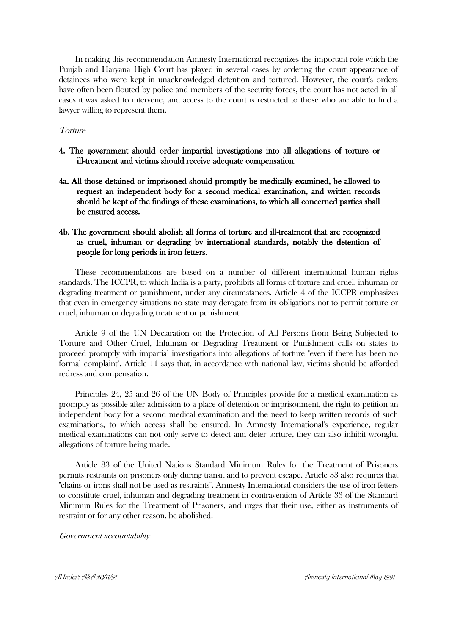In making this recommendation Amnesty International recognizes the important role which the Punjab and Haryana High Court has played in several cases by ordering the court appearance of detainees who were kept in unacknowledged detention and tortured. However, the court's orders have often been flouted by police and members of the security forces, the court has not acted in all cases it was asked to intervene, and access to the court is restricted to those who are able to find a lawyer willing to represent them.

## **Torture**

- 4. The government should order impartial investigations into all allegations of torture or ill-treatment and victims should receive adequate compensation.
- 4a. All those detained or imprisoned should promptly be medically examined, be allowed to request an independent body for a second medical examination, and written records should be kept of the findings of these examinations, to which all concerned parties shall be ensured access.

## 4b. The government should abolish all forms of torture and ill-treatment that are recognized as cruel, inhuman or degrading by international standards, notably the detention of people for long periods in iron fetters.

 These recommendations are based on a number of different international human rights standards. The ICCPR, to which India is a party, prohibits all forms of torture and cruel, inhuman or degrading treatment or punishment, under any circumstances. Article 4 of the ICCPR emphasizes that even in emergency situations no state may derogate from its obligations not to permit torture or cruel, inhuman or degrading treatment or punishment.

 Article 9 of the UN Declaration on the Protection of All Persons from Being Subjected to Torture and Other Cruel, Inhuman or Degrading Treatment or Punishment calls on states to proceed promptly with impartial investigations into allegations of torture "even if there has been no formal complaint". Article 11 says that, in accordance with national law, victims should be afforded redress and compensation.

 Principles 24, 25 and 26 of the UN Body of Principles provide for a medical examination as promptly as possible after admission to a place of detention or imprisonment, the right to petition an independent body for a second medical examination and the need to keep written records of such examinations, to which access shall be ensured. In Amnesty International's experience, regular medical examinations can not only serve to detect and deter torture, they can also inhibit wrongful allegations of torture being made.

 Article 33 of the United Nations Standard Minimum Rules for the Treatment of Prisoners permits restraints on prisoners only during transit and to prevent escape. Article 33 also requires that "chains or irons shall not be used as restraints". Amnesty International considers the use of iron fetters to constitute cruel, inhuman and degrading treatment in contravention of Article 33 of the Standard Minimun Rules for the Treatment of Prisoners, and urges that their use, either as instruments of restraint or for any other reason, be abolished.

#### Government accountability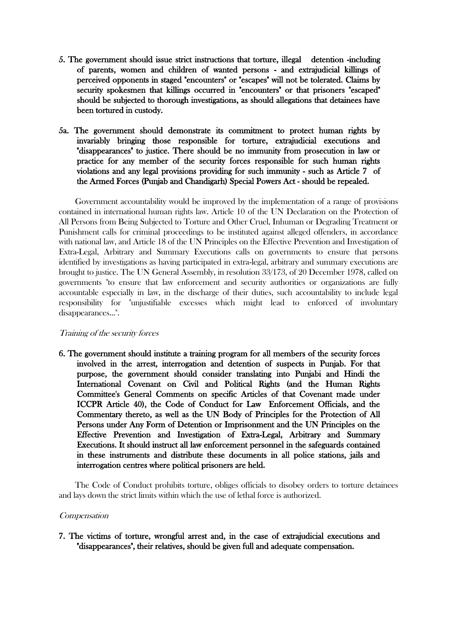- 5. The government should issue strict instructions that torture, illegal detention -including of parents, women and children of wanted persons - and extrajudicial killings of perceived opponents in staged "encounters" or "escapes" will not be tolerated. Claims by security spokesmen that killings occurred in "encounters" or that prisoners "escaped" should be subjected to thorough investigations, as should allegations that detainees have been tortured in custody.
- 5a. The government should demonstrate its commitment to protect human rights by invariably bringing those responsible for torture, extrajudicial executions and "disappearances" to justice. There should be no immunity from prosecution in law or practice for any member of the security forces responsible for such human rights violations and any legal provisions providing for such immunity - such as Article 7 of the Armed Forces (Punjab and Chandigarh) Special Powers Act - should be repealed.

 Government accountability would be improved by the implementation of a range of provisions contained in international human rights law. Article 10 of the UN Declaration on the Protection of All Persons from Being Subjected to Torture and Other Cruel, Inhuman or Degrading Treatment or Punishment calls for criminal proceedings to be instituted against alleged offenders, in accordance with national law, and Article 18 of the UN Principles on the Effective Prevention and Investigation of Extra-Legal, Arbitrary and Summary Executions calls on governments to ensure that persons identified by investigations as having participated in extra-legal, arbitrary and summary executions are brought to justice. The UN General Assembly, in resolution 33/173, of 20 December 1978, called on governments "to ensure that law enforcement and security authorities or organizations are fully accountable especially in law, in the discharge of their duties, such accountability to include legal responsibility for "unjustifiable excesses which might lead to enforced of involuntary disappearances...".

## Training of the security forces

6. The government should institute a training program for all members of the security forces involved in the arrest, interrogation and detention of suspects in Punjab. For that purpose, the government should consider translating into Punjabi and Hindi the International Covenant on Civil and Political Rights (and the Human Rights Committee's General Comments on specific Articles of that Covenant made under ICCPR Article 40), the Code of Conduct for Law Enforcement Officials, and the Commentary thereto, as well as the UN Body of Principles for the Protection of All Persons under Any Form of Detention or Imprisonment and the UN Principles on the Effective Prevention and Investigation of Extra-Legal, Arbitrary and Summary Executions. It should instruct all law enforcement personnel in the safeguards contained in these instruments and distribute these documents in all police stations, jails and interrogation centres where political prisoners are held.

 The Code of Conduct prohibits torture, obliges officials to disobey orders to torture detainees and lays down the strict limits within which the use of lethal force is authorized.

## **Compensation**

7. The victims of torture, wrongful arrest and, in the case of extrajudicial executions and "disappearances", their relatives, should be given full and adequate compensation.